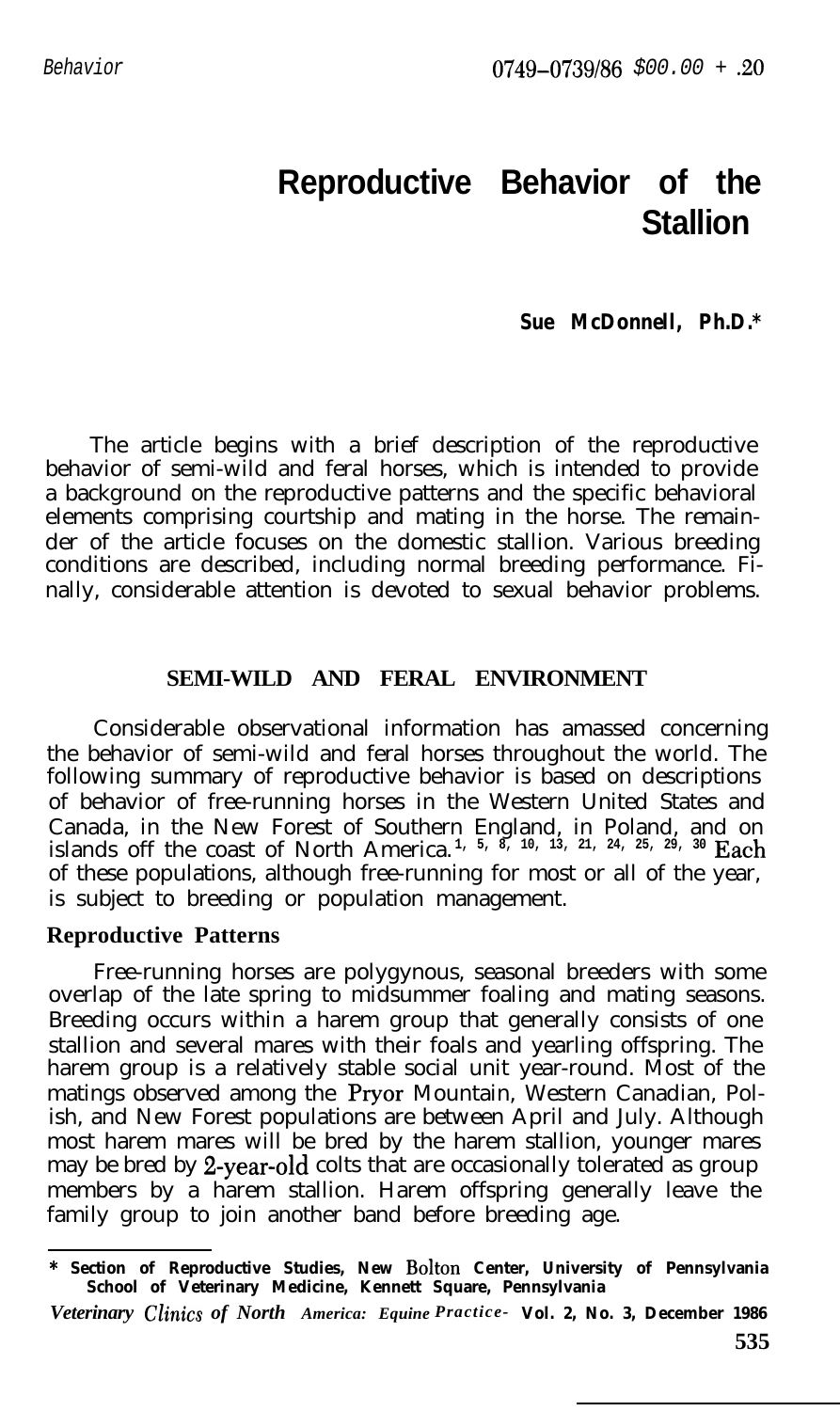# **Reproductive Behavior of the Stallion**

### *Sue McDonnell, Ph.D.\**

The article begins with a brief description of the reproductive behavior of semi-wild and feral horses, which is intended to provide a background on the reproductive patterns and the specific behavioral elements comprising courtship and mating in the horse. The remainder of the article focuses on the domestic stallion. Various breeding conditions are described, including normal breeding performance. Finally, considerable attention is devoted to sexual behavior problems.

## **SEMI-WILD AND FERAL ENVIRONMENT**

Considerable observational information has amassed concerning the behavior of semi-wild and feral horses throughout the world. The following summary of reproductive behavior is based on descriptions of behavior of free-running horses in the Western United States and Canada, in the New Forest of Southern England, in Poland, and on islands off the coast of North America. **1, 5, 8, 10, 13, 21, 24, 25, 29, 30 Each** of these populations, although free-running for most or all of the year, is subject to breeding or population management.

#### **Reproductive Patterns**

Free-running horses are polygynous, seasonal breeders with some overlap of the late spring to midsummer foaling and mating seasons. Breeding occurs within a harem group that generally consists of one stallion and several mares with their foals and yearling offspring. The harem group is a relatively stable social unit year-round. Most of the matings observed among the Pryor Mountain, Western Canadian, Polish, and New Forest populations are between April and July. Although most harem mares will be bred by the harem stallion, younger mares may be bred by 2-year-old colts that are occasionally tolerated as group members by a harem stallion. Harem offspring generally leave the family group to join another band before breeding age.

**<sup>\*</sup> Section of Reproductive Studies, New Bolton Center, University of Pennsylvania School of Veterinary Medicine, Kennett Square, Pennsylvania**

*Veterinary Chits of North America: Equine Practice-* **Vol. 2, No. 3, December 1986**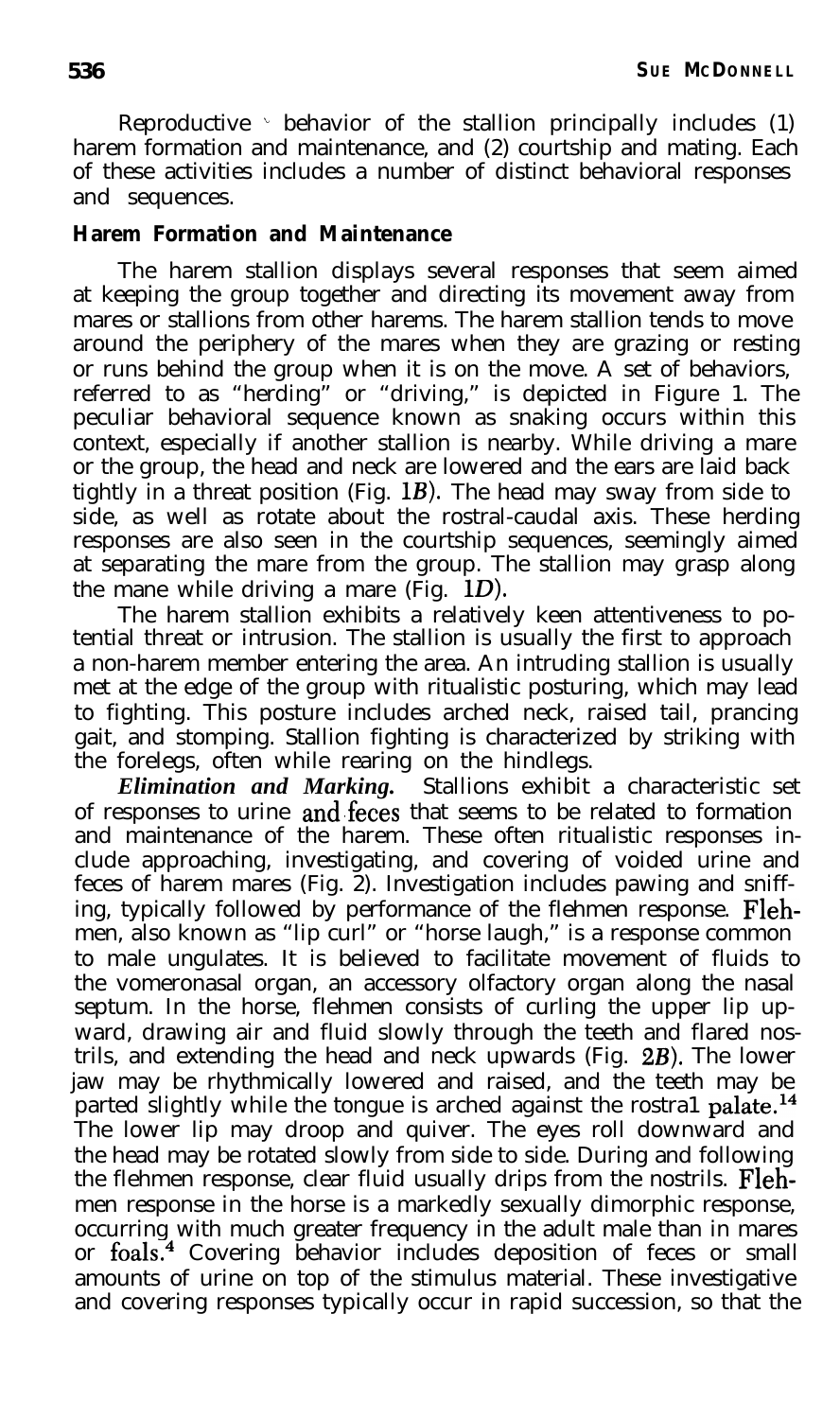### **Harem Formation and Maintenance**

The harem stallion displays several responses that seem aimed at keeping the group together and directing its movement away from mares or stallions from other harems. The harem stallion tends to move around the periphery of the mares when they are grazing or resting or runs behind the group when it is on the move. A set of behaviors, referred to as "herding" or "driving," is depicted in Figure 1. The peculiar behavioral sequence known as snaking occurs within this context, especially if another stallion is nearby. While driving a mare or the group, the head and neck are lowered and the ears are laid back tightly in a threat position (Fig. **1B).** The head may sway from side to side, as well as rotate about the rostral-caudal axis. These herding responses are also seen in the courtship sequences, seemingly aimed at separating the mare from the group. The stallion may grasp along the mane while driving a mare (Fig.  $1D$ ).

The harem stallion exhibits a relatively keen attentiveness to potential threat or intrusion. The stallion is usually the first to approach a non-harem member entering the area. An intruding stallion is usually met at the edge of the group with ritualistic posturing, which may lead to fighting. This posture includes arched neck, raised tail, prancing gait, and stomping. Stallion fighting is characterized by striking with the forelegs, often while rearing on the hindlegs.

*Elimination and Marking.* Stallions exhibit a characteristic set of responses to urine and feces that seems to be related to formation and maintenance of the harem. These often ritualistic responses include approaching, investigating, and covering of voided urine and feces of harem mares (Fig. 2). Investigation includes pawing and sniffing, typically followed by performance of the flehmen response. Flehmen, also known as "lip curl" or "horse laugh," is a response common to male ungulates. It is believed to facilitate movement of fluids to the vomeronasal organ, an accessory olfactory organ along the nasal septum. In the horse, flehmen consists of curling the upper lip upward, drawing air and fluid slowly through the teeth and flared nostrils, and extending the head and neck upwards (Fig. 2B). The lower jaw may be rhythmically lowered and raised, and the teeth may be parted slightly while the tongue is arched against the rostra1 palate.<sup>14</sup> The lower lip may droop and quiver. The eyes roll downward and the head may be rotated slowly from side to side. During and following the flehmen response, clear fluid usually drips from the nostrils. Flehmen response in the horse is a markedly sexually dimorphic response, occurring with much greater frequency in the adult male than in mares or foals.4 Covering behavior includes deposition of feces or small amounts of urine on top of the stimulus material. These investigative and covering responses typically occur in rapid succession, so that the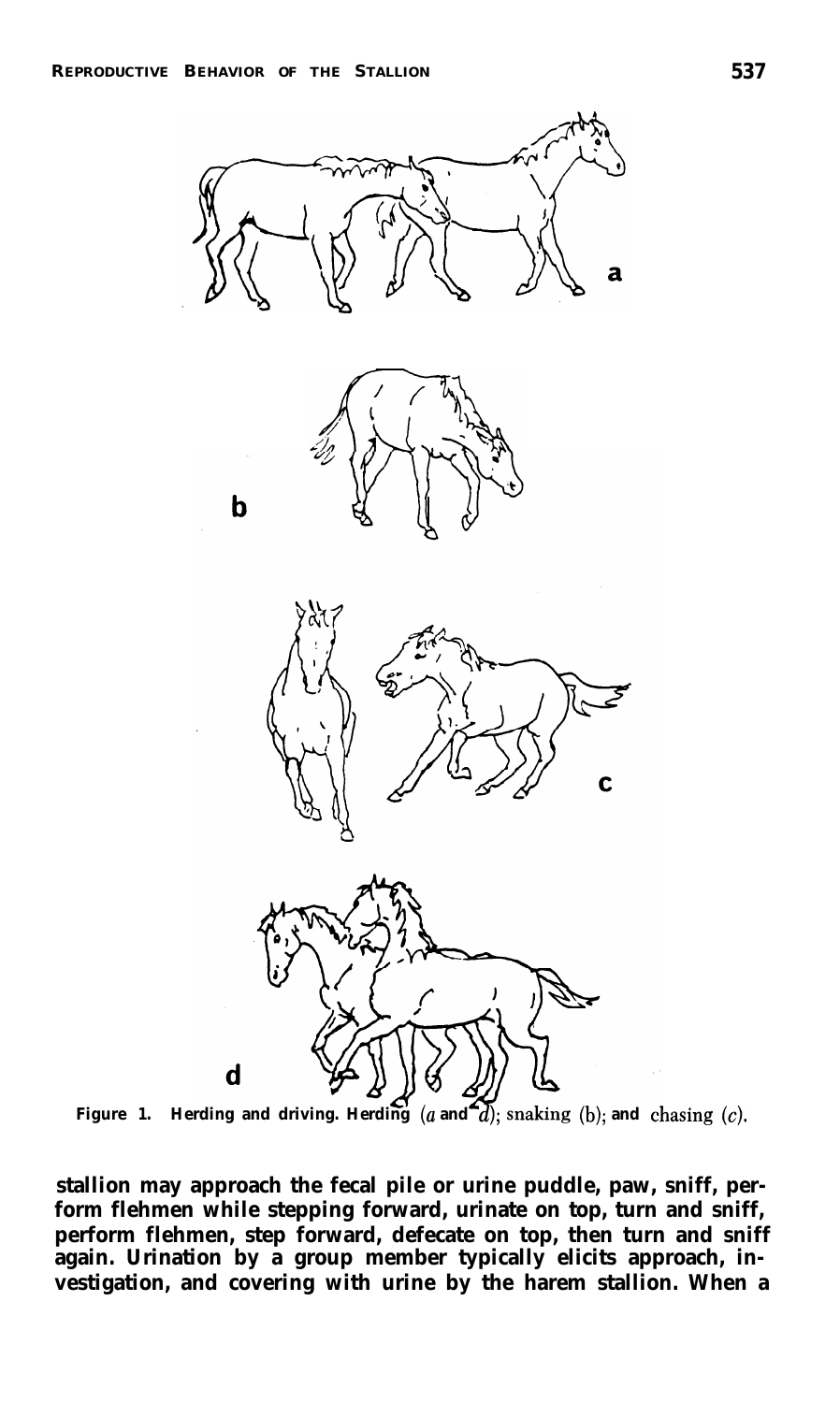$\mathbf b$ 









**Figure 1. Herding and driving. Herding**  $(a \text{ and } a)$ ; snaking  $(b)$ ; and chasing  $(c)$ .

**stallion may approach the fecal pile or urine puddle, paw, sniff, perform flehmen while stepping forward, urinate on top, turn and sniff, perform flehmen, step forward, defecate on top, then turn and sniff again. Urination by a group member typically elicits approach, investigation, and covering with urine by the harem stallion. When a**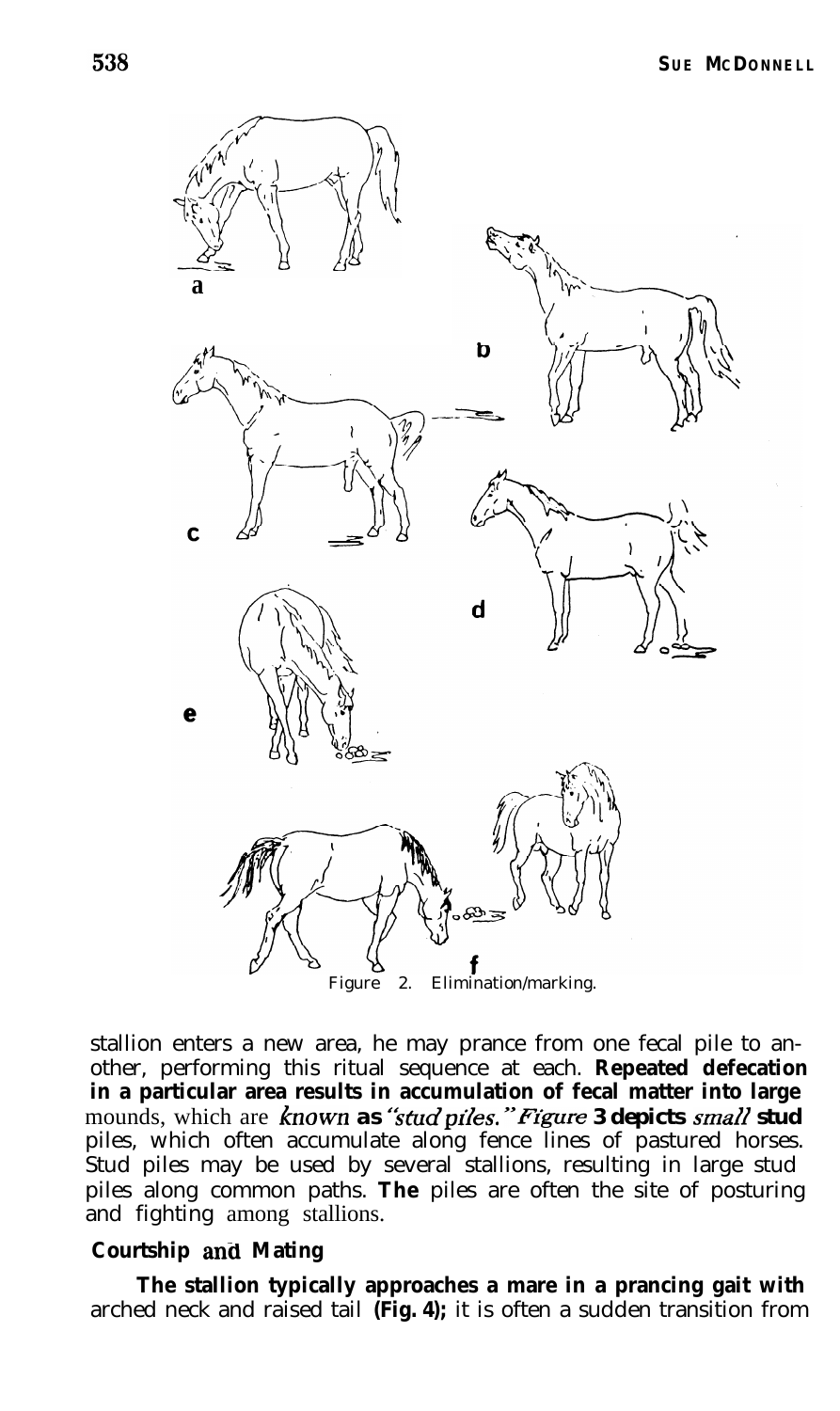

stallion enters a new area, he may prance from one fecal pile to another, performing this ritual sequence at each. **Repeated defecation in a particular area results in accumulation of fecal matter into large** mounds, which are known as "stud piles." Figure 3 depicts small stud piles, which often accumulate along fence lines of pastured horses. Stud piles may be used by several stallions, resulting in large stud piles along common paths. **The** piles are often the site of posturing and fighting among stallions.

## **Courtship anti Mating**

**The stallion typically approaches a mare in a prancing gait with** arched neck and raised tail **(Fig. 4);** it is often a sudden transition from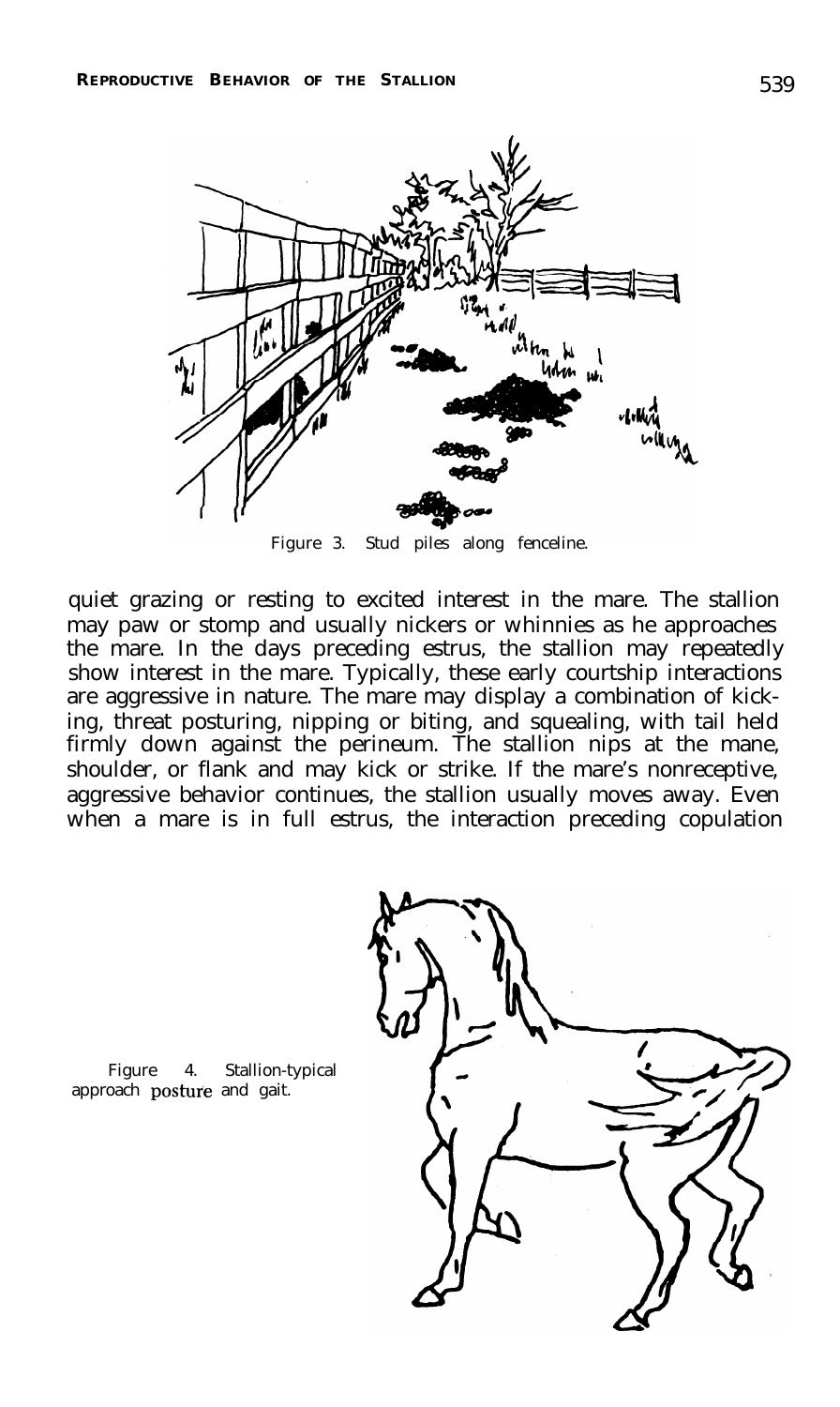

Figure 3. Stud piles along fenceline.

quiet grazing or resting to excited interest in the mare. The stallion may paw or stomp and usually nickers or whinnies as he approaches the mare. In the days preceding estrus, the stallion may repeatedly show interest in the mare. Typically, these early courtship interactions are aggressive in nature. The mare may display a combination of kicking, threat posturing, nipping or biting, and squealing, with tail held firmly down against the perineum. The stallion nips at the mane, shoulder, or flank and may kick or strike. If the mare's nonreceptive, aggressive behavior continues, the stallion usually moves away. Even when a mare is in full estrus, the interaction preceding copulation

Figure 4. Stallion-typical approach postwe and gait.

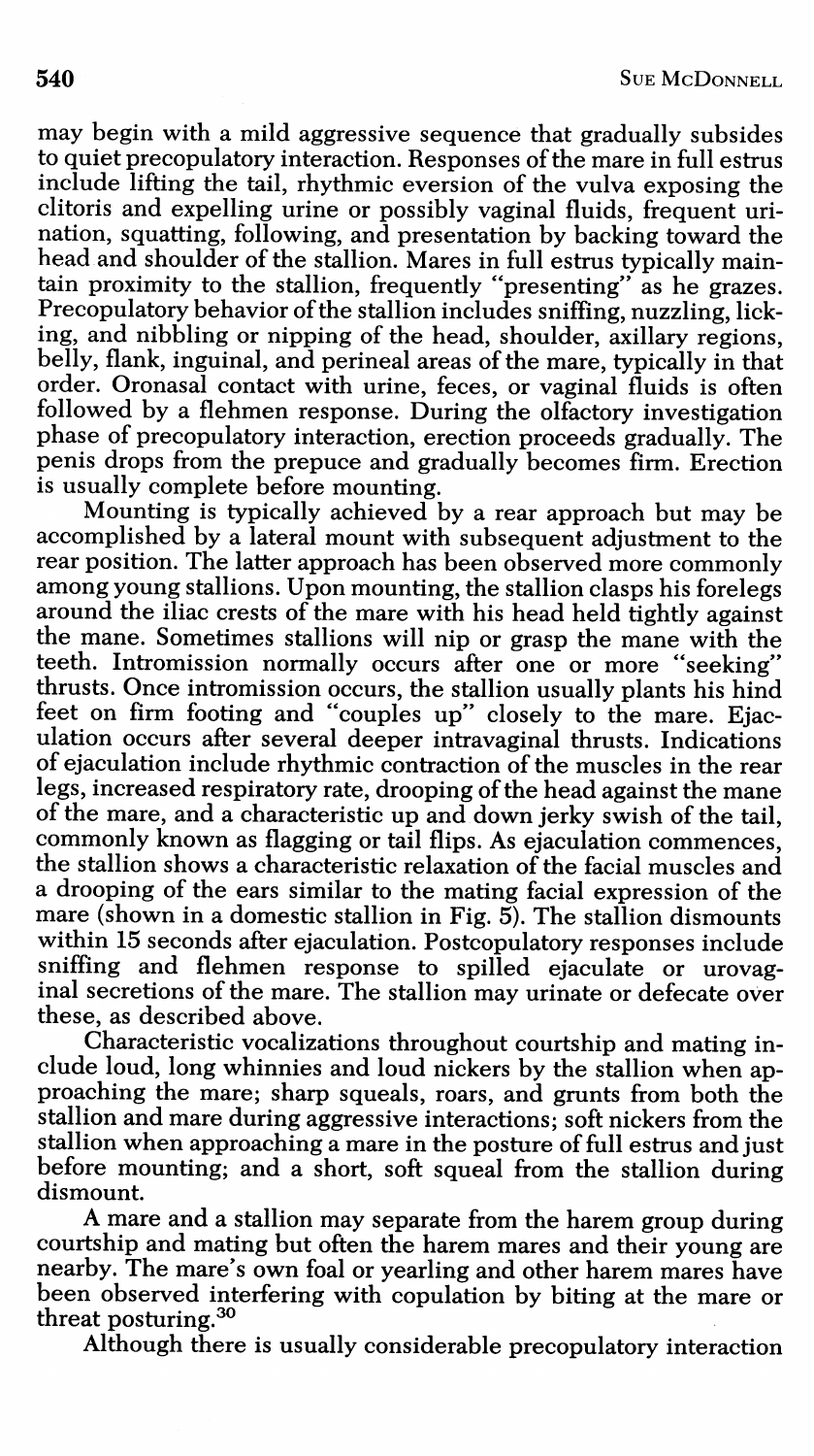may begin with a mild aggressive sequence that gradually subsides to quiet precopulatory interaction. Responses of the mare in full estrus include lifting the tail, rhythmic eversion of the vulva exposing the clitoris and expelling urine or possibly vaginal fluids, frequent urination, squatting, following, and presentation by backing toward the head and shoulder of the stallion. Mares in full estrus typically maintain proximity to the stallion, frequently "presenting" as he grazes. Precopulatory behavior of the stallion includes sniffing, nuzzling, licking, and nibbling or nipping of the head, shoulder, axillary regions, belly, flank, inguinal, and perineal areas of the mare, typically in that order. Oronasal contact with urine, feces, or vaginal fluids is often followed by a flehmen response. During the olfactory investigation phase of precopulatory interaction, erection proceeds gradually. The penis drops from the prepuce and gradually becomes firm. Erection is usually complete before mounting.

Mounting is typically achieved by a rear approach but may be accomplished by a lateral mount with subsequent adjustment to the rear position. The latter approach has been observed more commonly among young stallions. Upon mounting, the stallion clasps his forelegs around the iliac crests of the mare with his head held tightly against the mane. Sometimes stallions will nip or grasp the mane with the teeth. Intromission normally occurs after one or more "seeking" thrusts. Once intromission occurs, the stallion usually plants his hind<br>feet on firm footing and "couples up" closely to the mare. Ejaculation occurs after several deeper intravaginal thrusts. Indications of ejaculation include rhythmic contraction of the muscles in the rear legs, increased respiratory rate, drooping of the head against the mane of the mare, and a characteristic up and down jerky swish of the tail, commonly known as flagging or tail flips. As ejaculation commences, the stallion shows a characteristic relaxation of the facial muscles and a drooping of the ears similar to the mating facial expression of the mare (shown in a domestic stallion in Fig. 5). The stallion dismounts within 15 seconds after ejaculation. Postcopulatory responses include sniffing and flehmen response to spilled ejaculate or urovaginal secretions of the mare. The stallion may urinate or defecate over these, as described above.

Characteristic vocalizations throughout courtship and mating include loud, long whinnies and loud nickers by the stallion when approaching the mare; sharp squeals, roars, and grunts from both the stallion and mare during aggressive interactions; soft nickers from the stallion when approaching a mare in the posture of full estrus and just before mounting; and a short, soft squeal from the stallion during dismount.

A mare and a stallion may separate from the harem group during courtship and mating but often the harem mares and their young are nearby. The mare's own foal or yearling and other harem mares have been observed interfering with copulation by biting at the mare or threat posturing.<sup>30</sup>

Although there is usually considerable precopulatory interaction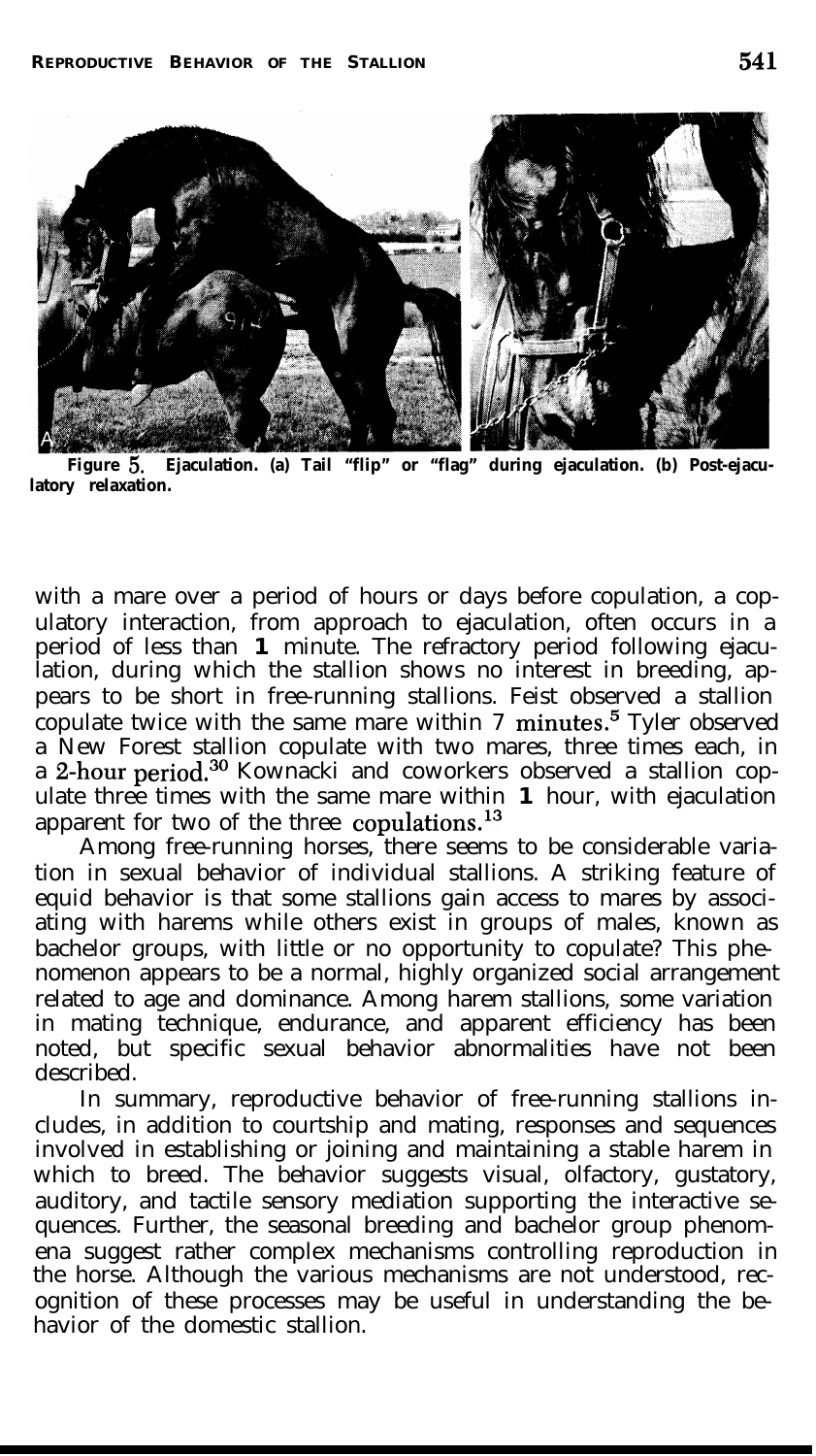

**Figure** 5. **Ejaculation. (a) Tail "flip" or "flag" during ejaculation. (b) Post-ejaculatory relaxation.**

with a mare over a period of hours or days before copulation, a copulatory interaction, from approach to ejaculation, often occurs in a period of less than **1** minute. The refractory period following ejaculation, during which the stallion shows no interest in breeding, appears to be short in free-running stallions. Feist observed a stallion copulate twice with the same mare within  $7 \text{ minutes}$ .<sup>5</sup> Tyler observed a New Forest stallion copulate with two mares, three times each, in a 2-hour period.<sup>30</sup> Kownacki and coworkers observed a stallion copulate three times with the same mare within **1** hour, with ejaculation apparent for two of the three copulations.<sup>13</sup>

Among free-running horses, there seems to be considerable variation in sexual behavior of individual stallions. A striking feature of equid behavior is that some stallions gain access to mares by associating with harems while others exist in groups of males, known as bachelor groups, with little or no opportunity to copulate? This phenomenon appears to be a normal, highly organized social arrangement related to age and dominance. Among harem stallions, some variation in mating technique, endurance, and apparent efficiency has been noted, but specific sexual behavior abnormalities have not been described.

In summary, reproductive behavior of free-running stallions includes, in addition to courtship and mating, responses and sequences involved in establishing or joining and maintaining a stable harem in which to breed. The behavior suggests visual, olfactory, gustatory, auditory, and tactile sensory mediation supporting the interactive sequences. Further, the seasonal breeding and bachelor group phenomena suggest rather complex mechanisms controlling reproduction in the horse. Although the various mechanisms are not understood, recognition of these processes may be useful in understanding the behavior of the domestic stallion.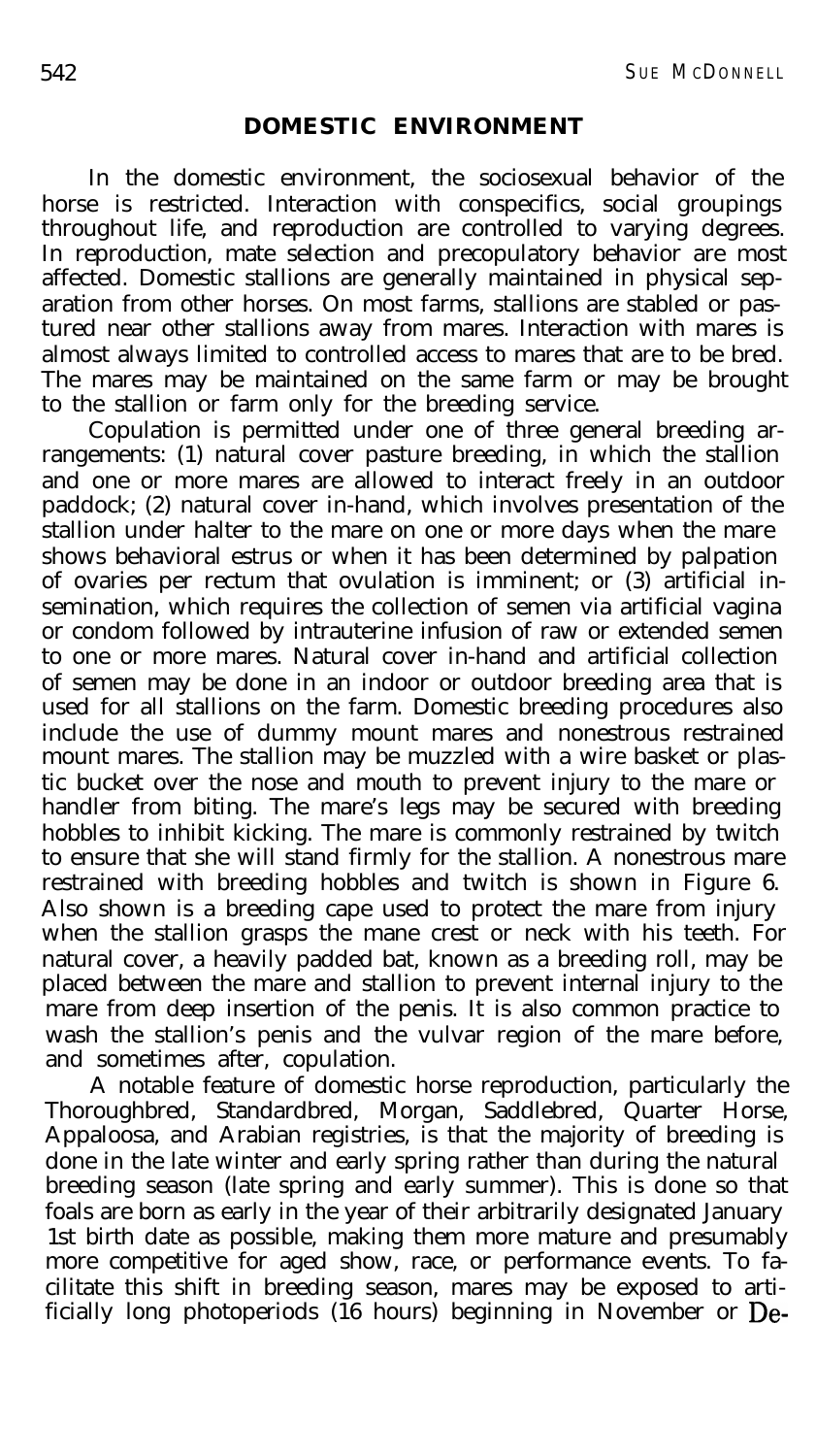#### **DOMESTIC ENVIRONMENT**

In the domestic environment, the sociosexual behavior of the horse is restricted. Interaction with conspecifics, social groupings throughout life, and reproduction are controlled to varying degrees. In reproduction, mate selection and precopulatory behavior are most affected. Domestic stallions are generally maintained in physical separation from other horses. On most farms, stallions are stabled or pastured near other stallions away from mares. Interaction with mares is almost always limited to controlled access to mares that are to be bred. The mares may be maintained on the same farm or may be brought to the stallion or farm only for the breeding service.

Copulation is permitted under one of three general breeding arrangements: (1) natural cover pasture breeding, in which the stallion and one or more mares are allowed to interact freely in an outdoor paddock; (2) natural cover in-hand, which involves presentation of the stallion under halter to the mare on one or more days when the mare shows behavioral estrus or when it has been determined by palpation of ovaries per rectum that ovulation is imminent; or (3) artificial insemination, which requires the collection of semen via artificial vagina or condom followed by intrauterine infusion of raw or extended semen to one or more mares. Natural cover in-hand and artificial collection of semen may be done in an indoor or outdoor breeding area that is used for all stallions on the farm. Domestic breeding procedures also include the use of dummy mount mares and nonestrous restrained mount mares. The stallion may be muzzled with a wire basket or plastic bucket over the nose and mouth to prevent injury to the mare or handler from biting. The mare's legs may be secured with breeding hobbles to inhibit kicking. The mare is commonly restrained by twitch to ensure that she will stand firmly for the stallion. A nonestrous mare restrained with breeding hobbles and twitch is shown in Figure 6. Also shown is a breeding cape used to protect the mare from injury when the stallion grasps the mane crest or neck with his teeth. For natural cover, a heavily padded bat, known as a breeding roll, may be placed between the mare and stallion to prevent internal injury to the mare from deep insertion of the penis. It is also common practice to wash the stallion's penis and the vulvar region of the mare before, and sometimes after, copulation.

A notable feature of domestic horse reproduction, particularly the Thoroughbred, Standardbred, Morgan, Saddlebred, Quarter Horse, Appaloosa, and Arabian registries, is that the majority of breeding is done in the late winter and early spring rather than during the natural breeding season (late spring and early summer). This is done so that foals are born as early in the year of their arbitrarily designated January 1st birth date as possible, making them more mature and presumably more competitive for aged show, race, or performance events. To facilitate this shift in breeding season, mares may be exposed to artificially long photoperiods (16 hours) beginning in November or De-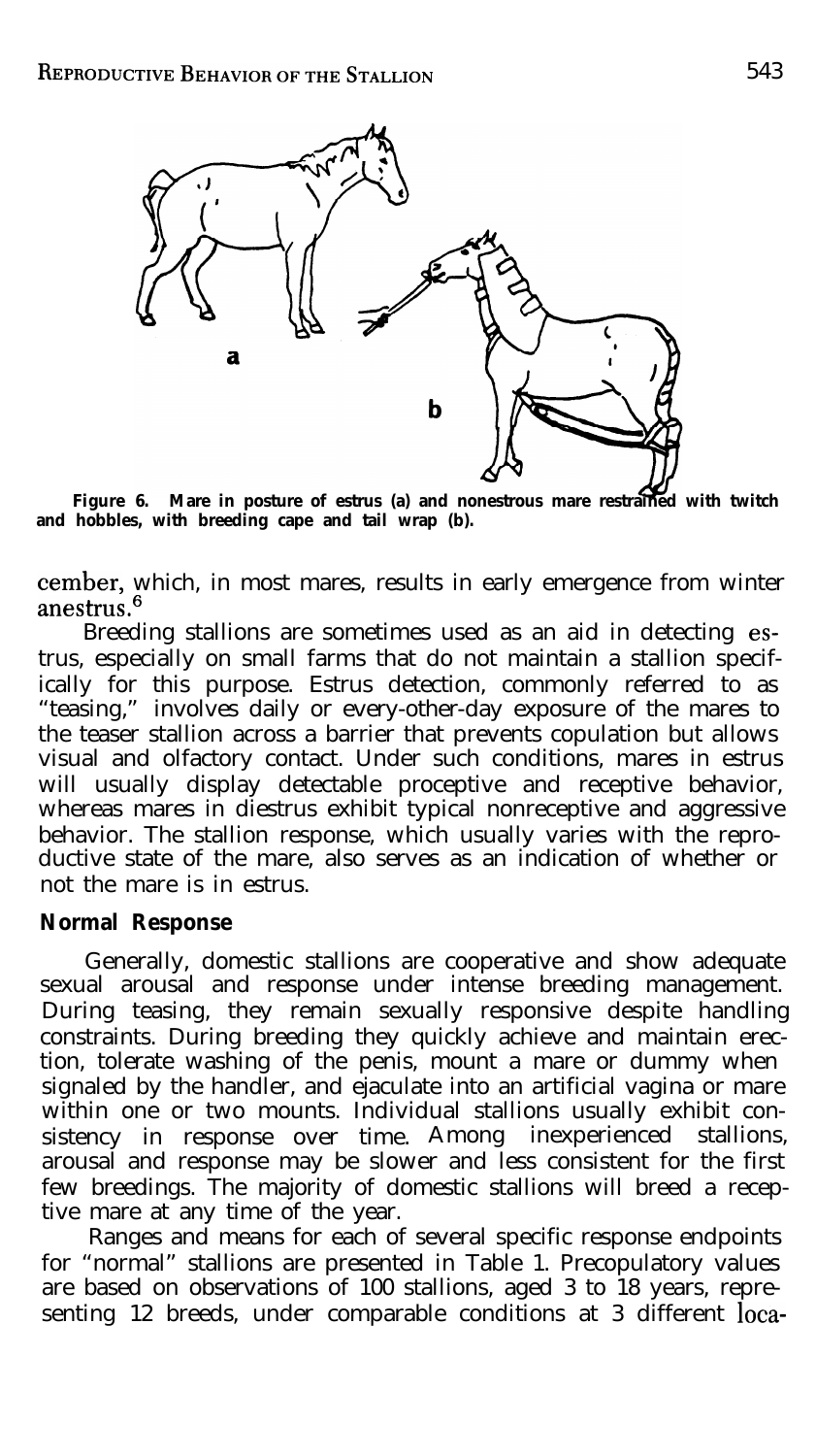

**Figure 6. Mare in posture of estrus (a) and nonestrous mare restrained with twitch and hobbles, with breeding cape and tail wrap (b).**

cember, which, in most mares, results in early emergence from winter anestrus.<sup>6</sup>

Breeding stallions are sometimes used as an aid in detecting estrus, especially on small farms that do not maintain a stallion specifically for this purpose. Estrus detection, commonly referred to as "teasing," involves daily or every-other-day exposure of the mares to the teaser stallion across a barrier that prevents copulation but allows visual and olfactory contact. Under such conditions, mares in estrus will usually display detectable proceptive and receptive behavior, whereas mares in diestrus exhibit typical nonreceptive and aggressive behavior. The stallion response, which usually varies with the reproductive state of the mare, also serves as an indication of whether or not the mare is in estrus.

## **Normal Response**

Generally, domestic stallions are cooperative and show adequate sexual arousal and response under intense breeding management. During teasing, they remain sexually responsive despite handling constraints. During breeding they quickly achieve and maintain erection, tolerate washing of the penis, mount a mare or dummy when signaled by the handler, and ejaculate into an artificial vagina or mare within one or two mounts. Individual stallions usually exhibit consistency in response over time. Among inexperienced stallions, arousal and response may be slower and less consistent for the first few breedings. The majority of domestic stallions will breed a receptive mare at any time of the year.

Ranges and means for each of several specific response endpoints for "normal" stallions are presented in Table 1. Precopulatory values are based on observations of 100 stallions, aged 3 to 18 years, representing 12 breeds, under comparable conditions at 3 different loca-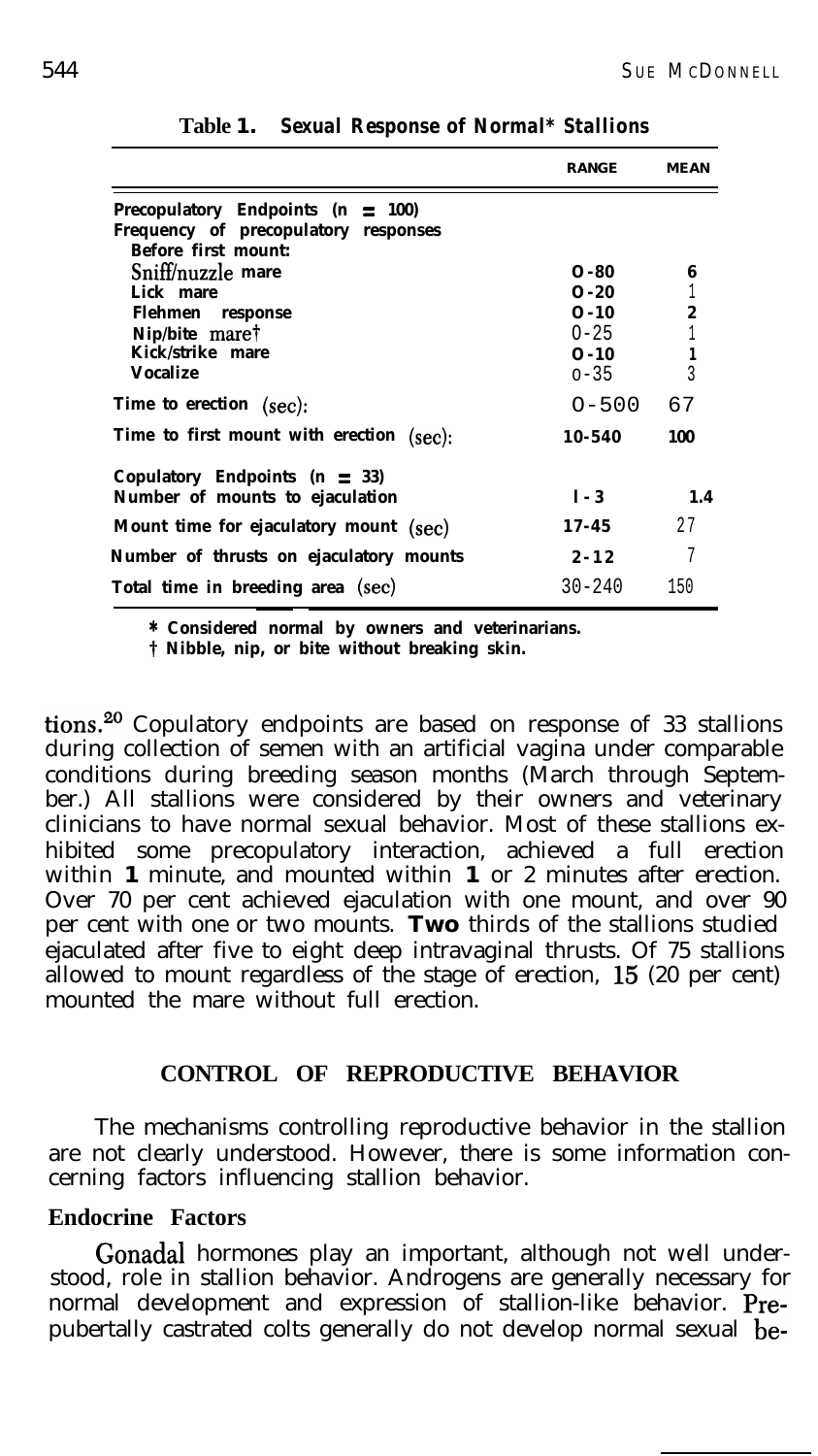|                                                                                                                                | <b>RANGE</b>                                                 | <b>MEAN</b>                     |
|--------------------------------------------------------------------------------------------------------------------------------|--------------------------------------------------------------|---------------------------------|
| Precopulatory Endpoints ( $n \equiv 100$ )<br>Frequency of precopulatory responses<br><b>Before first mount:</b>               |                                                              |                                 |
| Sniff/nuzzle mare<br>Lick mare<br><b>Flehmen</b> response<br>Nip/bite mare <sup>†</sup><br>Kick/strike mare<br><b>Vocalize</b> | O-80<br>O-20<br>$0 - 10$<br>$0 - 25$<br>$0 - 10$<br>$0 - 35$ | 6<br>$\boldsymbol{2}$<br>1<br>3 |
| <b>Time to erection</b> (sec):                                                                                                 | $0 - 500$                                                    | 67                              |
| Time to first mount with erection (sec):                                                                                       | 10-540                                                       | 100                             |
| Copulatory Endpoints ( $n \equiv 33$ )<br>Number of mounts to ejaculation                                                      | $1 - 3$                                                      | 1.4                             |
| Mount time for ejaculatory mount (sec)                                                                                         | 17-45                                                        | 27                              |
| Number of thrusts on ejaculatory mounts                                                                                        | $2 - 12$                                                     | 7                               |
| Total time in breeding area (sec)                                                                                              | $30 - 240$                                                   | 150                             |

**Table 1.** *Sexual Response of Normal\* Stallions*

**\* Considered normal by owners and veterinarians.**

**t Nibble, nip, or bite without breaking skin.**

tions.<sup>20</sup> Copulatory endpoints are based on response of 33 stallions during collection of semen with an artificial vagina under comparable conditions during breeding season months (March through September.) All stallions were considered by their owners and veterinary clinicians to have normal sexual behavior. Most of these stallions exhibited some precopulatory interaction, achieved a full erection within **1** minute, and mounted within **1** or 2 minutes after erection. Over 70 per cent achieved ejaculation with one mount, and over 90 per cent with one or two mounts. **Two** thirds of the stallions studied ejaculated after five to eight deep intravaginal thrusts. Of 75 stallions allowed to mount regardless of the stage of erection, 15 (20 per cent) mounted the mare without full erection.

## **CONTROL OF REPRODUCTIVE BEHAVIOR**

The mechanisms controlling reproductive behavior in the stallion are not clearly understood. However, there is some information concerning factors influencing stallion behavior.

## **Endocrine Factors**

Gonadal hormones play an important, although not well understood, role in stallion behavior. Androgens are generally necessary for normal development and expression of stallion-like behavior. Prepubertally castrated colts generally do not develop normal sexual be-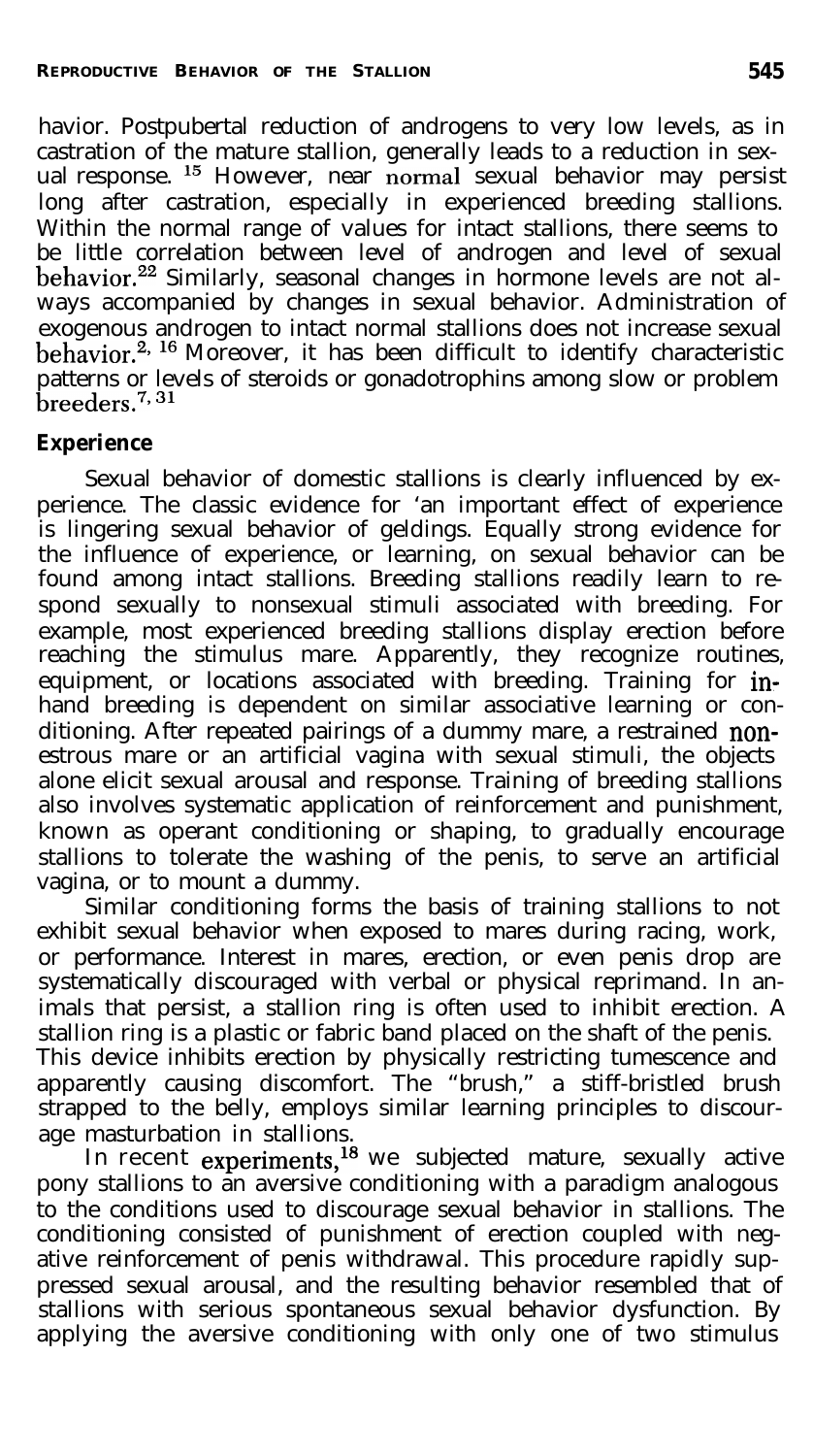havior. Postpubertal reduction of androgens to very low levels, as in castration of the mature stallion, generally leads to a reduction in sexual response. l5 However, near normal sexual behavior may persist long after castration, especially in experienced breeding stallions. Within the normal range of values for intact stallions, there seems to be little correlation between level of androgen and level of sexual behavior.<sup>22</sup> Similarly, seasonal changes in hormone levels are not always accompanied by changes in sexual behavior. Administration of exogenous androgen to intact normal stallions does not increase sexual behavior.<sup>2, 16</sup> Moreover, it has been difficult to identify characteristic patterns or levels of steroids or gonadotrophins among slow or problem  $be$ eders.<sup>7, 31</sup>

## **Experience**

Sexual behavior of domestic stallions is clearly influenced by experience. The classic evidence for 'an important effect of experience is lingering sexual behavior of geldings. Equally strong evidence for the influence of experience, or learning, on sexual behavior can be found among intact stallions. Breeding stallions readily learn to respond sexually to nonsexual stimuli associated with breeding. For example, most experienced breeding stallions display erection before reaching the stimulus mare. Apparently, they recognize routines, equipment, or locations associated with breeding. Training for  $\mathop{\mathrm{in}}\nolimits$ hand breeding is dependent on similar associative learning or conditioning. After repeated pairings of a dummy mare, a restrained nonestrous mare or an artificial vagina with sexual stimuli, the objects alone elicit sexual arousal and response. Training of breeding stallions also involves systematic application of reinforcement and punishment, known as operant conditioning or shaping, to gradually encourage stallions to tolerate the washing of the penis, to serve an artificial vagina, or to mount a dummy.

Similar conditioning forms the basis of training stallions to not exhibit sexual behavior when exposed to mares during racing, work, or performance. Interest in mares, erection, or even penis drop are systematically discouraged with verbal or physical reprimand. In animals that persist, a stallion ring is often used to inhibit erection. A stallion ring is a plastic or fabric band placed on the shaft of the penis. This device inhibits erection by physically restricting tumescence and apparently causing discomfort. The "brush," a stiff-bristled brush strapped to the belly, employs similar learning principles to discourage masturbation in stallions.

In recent **experiments,<sup>18</sup>** we subjected mature, sexually active pony stallions to an aversive conditioning with a paradigm analogous to the conditions used to discourage sexual behavior in stallions. The conditioning consisted of punishment of erection coupled with negative reinforcement of penis withdrawal. This procedure rapidly suppressed sexual arousal, and the resulting behavior resembled that of stallions with serious spontaneous sexual behavior dysfunction. By applying the aversive conditioning with only one of two stimulus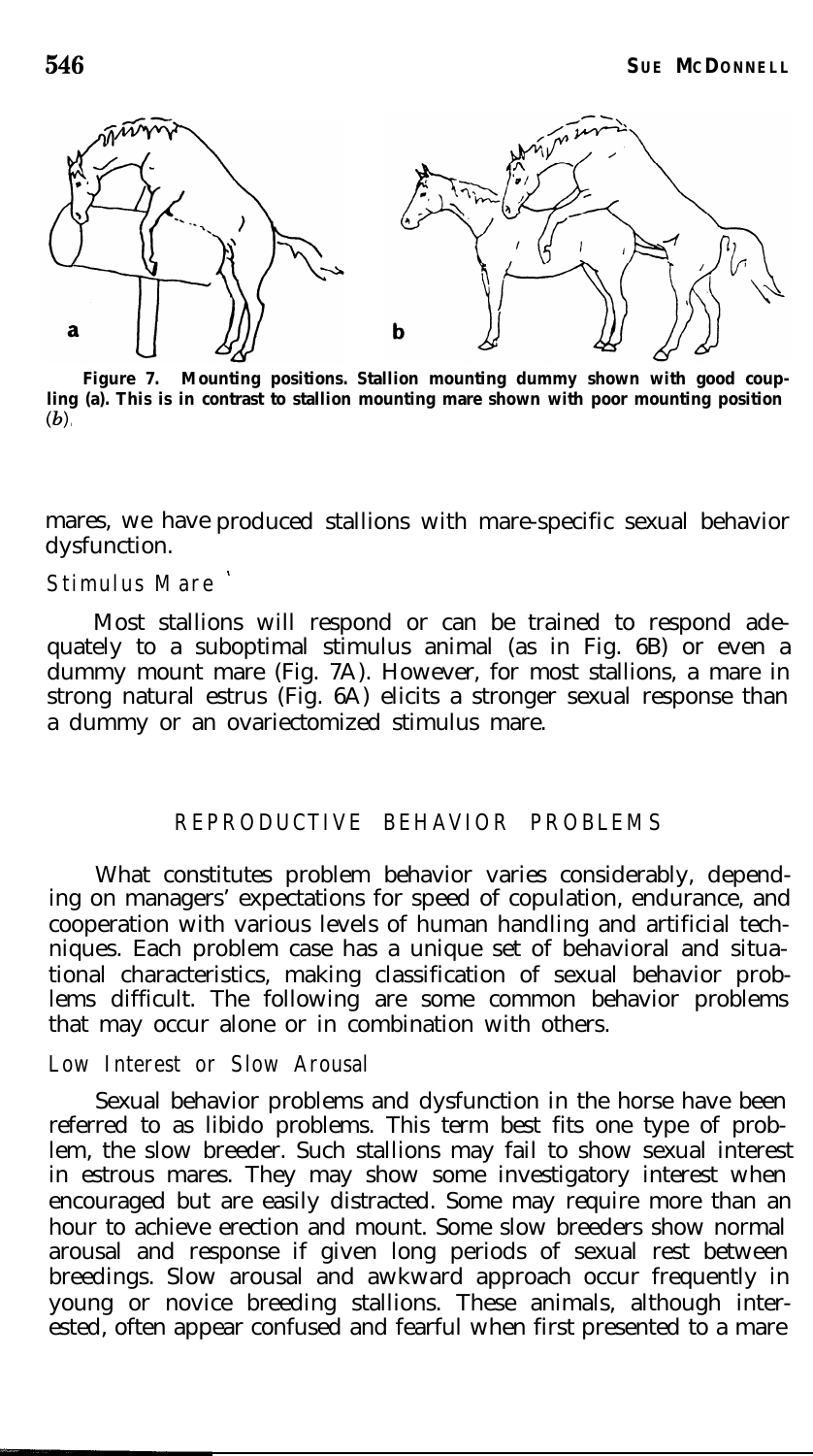

**Figure 7. Mounting positions. Stallion mounting dummy shown with good coupling (a). This is in contrast to stallion mounting mare shown with poor mounting position**  $(b)$ 

mares, we have produced stallions with mare-specific sexual behavior dysfunction.

## **Stimulus Mare '**

Most stallions will respond or can be trained to respond adequately to a suboptimal stimulus animal (as in Fig. 6B) or even a dummy mount mare (Fig. 7A). However, for most stallions, a mare in strong natural estrus (Fig. 6A) elicits a stronger sexual response than a dummy or an ovariectomized stimulus mare.

## **REPRODUCTIVE BEHAVIOR PROBLEMS**

What constitutes problem behavior varies considerably, depending on managers' expectations for speed of copulation, endurance, and cooperation with various levels of human handling and artificial techniques. Each problem case has a unique set of behavioral and situational characteristics, making classification of sexual behavior problems difficult. The following are some common behavior problems that may occur alone or in combination with others.

#### **Low Interest or Slow Arousal**

Sexual behavior problems and dysfunction in the horse have been referred to as libido problems. This term best fits one type of problem, the slow breeder. Such stallions may fail to show sexual interest in estrous mares. They may show some investigatory interest when encouraged but are easily distracted. Some may require more than an hour to achieve erection and mount. Some slow breeders show normal arousal and response if given long periods of sexual rest between breedings. Slow arousal and awkward approach occur frequently in young or novice breeding stallions. These animals, although interested, often appear confused and fearful when first presented to a mare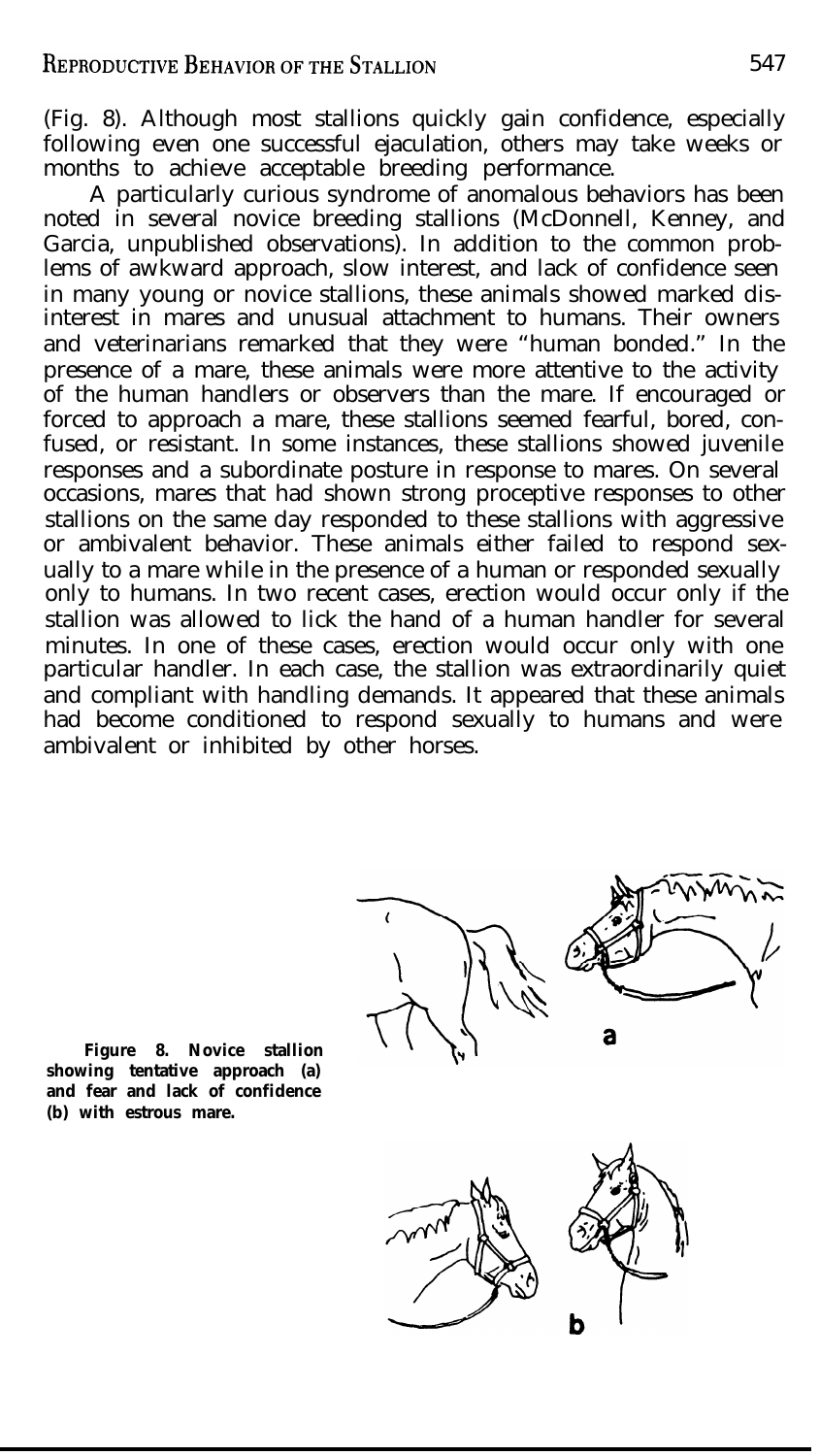(Fig. 8). Although most stallions quickly gain confidence, especially following even one successful ejaculation, others may take weeks or months to achieve acceptable breeding performance.

A particularly curious syndrome of anomalous behaviors has been noted in several novice breeding stallions (McDonnell, Kenney, and Garcia, unpublished observations). In addition to the common problems of awkward approach, slow interest, and lack of confidence seen in many young or novice stallions, these animals showed marked disinterest in mares and unusual attachment to humans. Their owners and veterinarians remarked that they were "human bonded." In the presence of a mare, these animals were more attentive to the activity of the human handlers or observers than the mare. If encouraged or forced to approach a mare, these stallions seemed fearful, bored, confused, or resistant. In some instances, these stallions showed juvenile responses and a subordinate posture in response to mares. On several occasions, mares that had shown strong proceptive responses to other stallions on the same day responded to these stallions with aggressive or ambivalent behavior. These animals either failed to respond sexually to a mare while in the presence of a human or responded sexually only to humans. In two recent cases, erection would occur only if the stallion was allowed to lick the hand of a human handler for several minutes. In one of these cases, erection would occur only with one particular handler. In each case, the stallion was extraordinarily quiet and compliant with handling demands. It appeared that these animals had become conditioned to respond sexually to humans and were ambivalent or inhibited by other horses.

**Figure 8. Novice stallion showing tentative approach (a) and fear and lack of confidence (b) with estrous mare.**

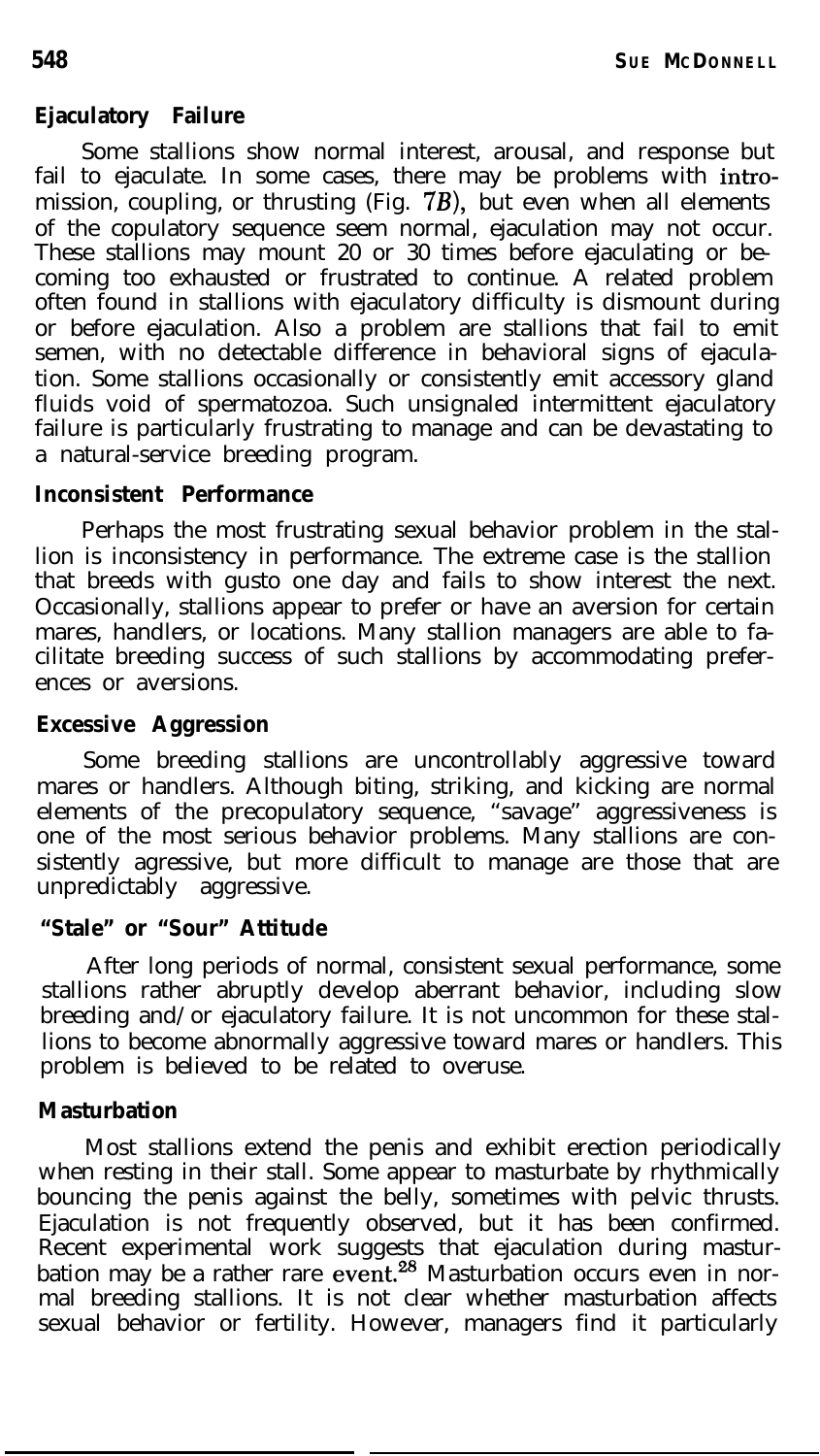#### **Ejaculatory Failure**

Some stallions show normal interest, arousal, and response but fail to ejaculate. In some cases, there may be problems with intromission, coupling, or thrusting (Fig. *7B),* but even when all elements of the copulatory sequence seem normal, ejaculation may not occur. These stallions may mount 20 or 30 times before ejaculating or becoming too exhausted or frustrated to continue. A related problem often found in stallions with ejaculatory difficulty is dismount during or before ejaculation. Also a problem are stallions that fail to emit semen, with no detectable difference in behavioral signs of ejaculation. Some stallions occasionally or consistently emit accessory gland fluids void of spermatozoa. Such unsignaled intermittent ejaculatory failure is particularly frustrating to manage and can be devastating to a natural-service breeding program.

#### **Inconsistent Performance**

Perhaps the most frustrating sexual behavior problem in the stallion is inconsistency in performance. The extreme case is the stallion that breeds with gusto one day and fails to show interest the next. Occasionally, stallions appear to prefer or have an aversion for certain mares, handlers, or locations. Many stallion managers are able to facilitate breeding success of such stallions by accommodating preferences or aversions.

## **Excessive Aggression**

Some breeding stallions are uncontrollably aggressive toward mares or handlers. Although biting, striking, and kicking are normal elements of the precopulatory sequence, "savage" aggressiveness is one of the most serious behavior problems. Many stallions are consistently agressive, but more difficult to manage are those that are unpredictably aggressive.

## **"Stale" or "Sour" Attitude**

After long periods of normal, consistent sexual performance, some stallions rather abruptly develop aberrant behavior, including slow breeding and/or ejaculatory failure. It is not uncommon for these stallions to become abnormally aggressive toward mares or handlers. This problem is believed to be related to overuse.

## **Masturbation**

Most stallions extend the penis and exhibit erection periodically when resting in their stall. Some appear to masturbate by rhythmically bouncing the penis against the belly, sometimes with pelvic thrusts. Ejaculation is not frequently observed, but it has been confirmed. Recent experimental work suggests that ejaculation during masturbation may be a rather rare event.<sup>28</sup> Masturbation occurs even in normal breeding stallions. It is not clear whether masturbation affects sexual behavior or fertility. However, managers find it particularly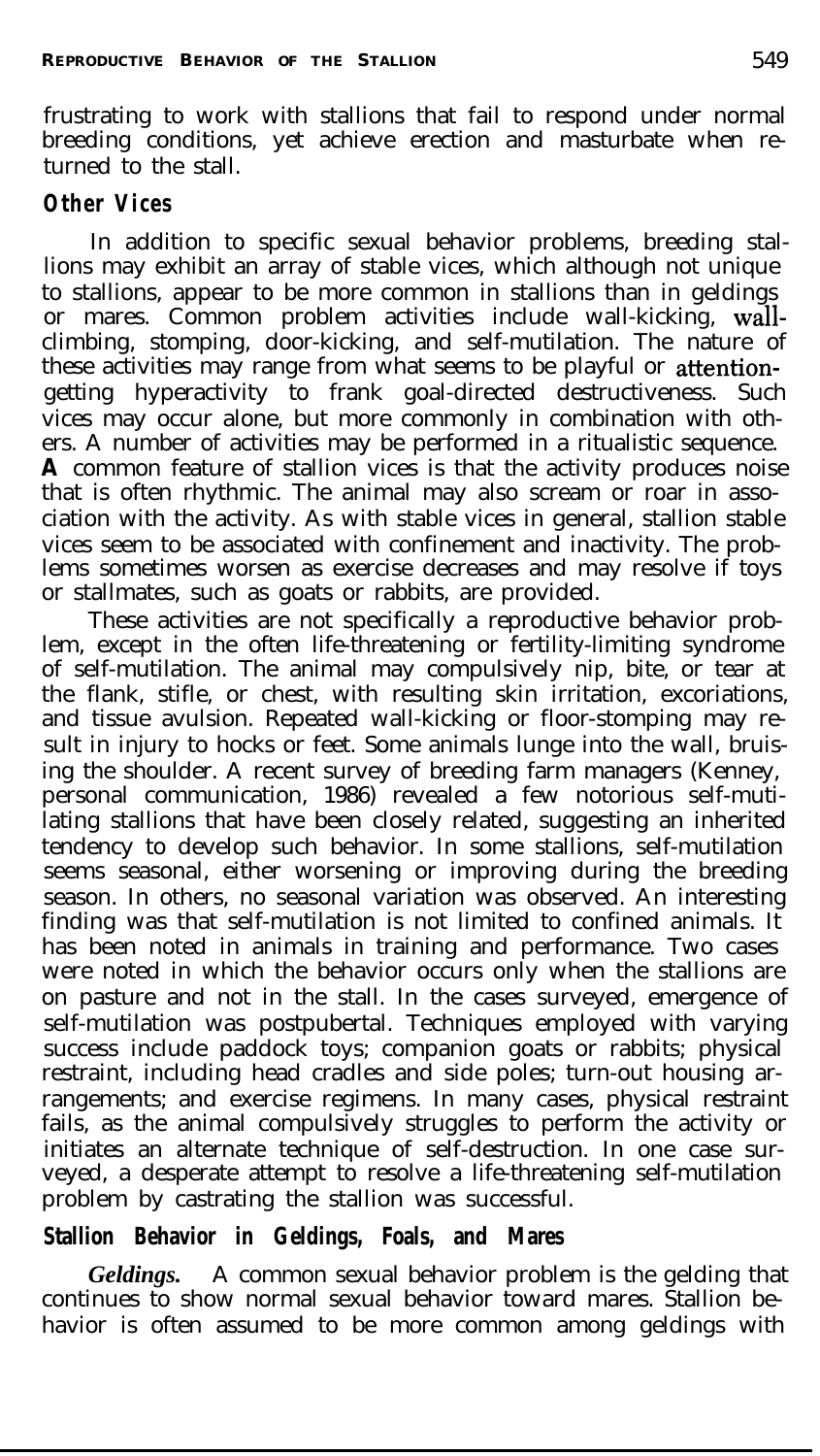frustrating to work with stallions that fail to respond under normal breeding conditions, yet achieve erection and masturbate when returned to the stall.

## **Other Vices**

In addition to specific sexual behavior problems, breeding stallions may exhibit an array of stable vices, which although not unique to stallions, appear to be more common in stallions than in geldings or mares. Common problem activities include wall-kicking, wallclimbing, stomping, door-kicking, and self-mutilation. The nature of these activities may range from what seems to be playful or attentiongetting hyperactivity to frank goal-directed destructiveness. Such vices may occur alone, but more commonly in combination with others. A number of activities may be performed in a ritualistic sequence. **A** common feature of stallion vices is that the activity produces noise that is often rhythmic. The animal may also scream or roar in association with the activity. As with stable vices in general, stallion stable vices seem to be associated with confinement and inactivity. The problems sometimes worsen as exercise decreases and may resolve if toys or stallmates, such as goats or rabbits, are provided.

These activities are not specifically a reproductive behavior problem, except in the often life-threatening or fertility-limiting syndrome of self-mutilation. The animal may compulsively nip, bite, or tear at the flank, stifle, or chest, with resulting skin irritation, excoriations, and tissue avulsion. Repeated wall-kicking or floor-stomping may result in injury to hocks or feet. Some animals lunge into the wall, bruising the shoulder. A recent survey of breeding farm managers (Kenney, personal communication, 1986) revealed a few notorious self-mutilating stallions that have been closely related, suggesting an inherited tendency to develop such behavior. In some stallions, self-mutilation seems seasonal, either worsening or improving during the breeding season. In others, no seasonal variation was observed. An interesting finding was that self-mutilation is not limited to confined animals. It has been noted in animals in training and performance. Two cases were noted in which the behavior occurs only when the stallions are on pasture and not in the stall. In the cases surveyed, emergence of self-mutilation was postpubertal. Techniques employed with varying success include paddock toys; companion goats or rabbits; physical restraint, including head cradles and side poles; turn-out housing arrangements; and exercise regimens. In many cases, physical restraint fails, as the animal compulsively struggles to perform the activity or initiates an alternate technique of self-destruction. In one case surveyed, a desperate attempt to resolve a life-threatening self-mutilation problem by castrating the stallion was successful.

## **Stallion Behavior in Geldings, Foals, and Mares**

*Geldings.* A common sexual behavior problem is the gelding that continues to show normal sexual behavior toward mares. Stallion behavior is often assumed to be more common among geldings with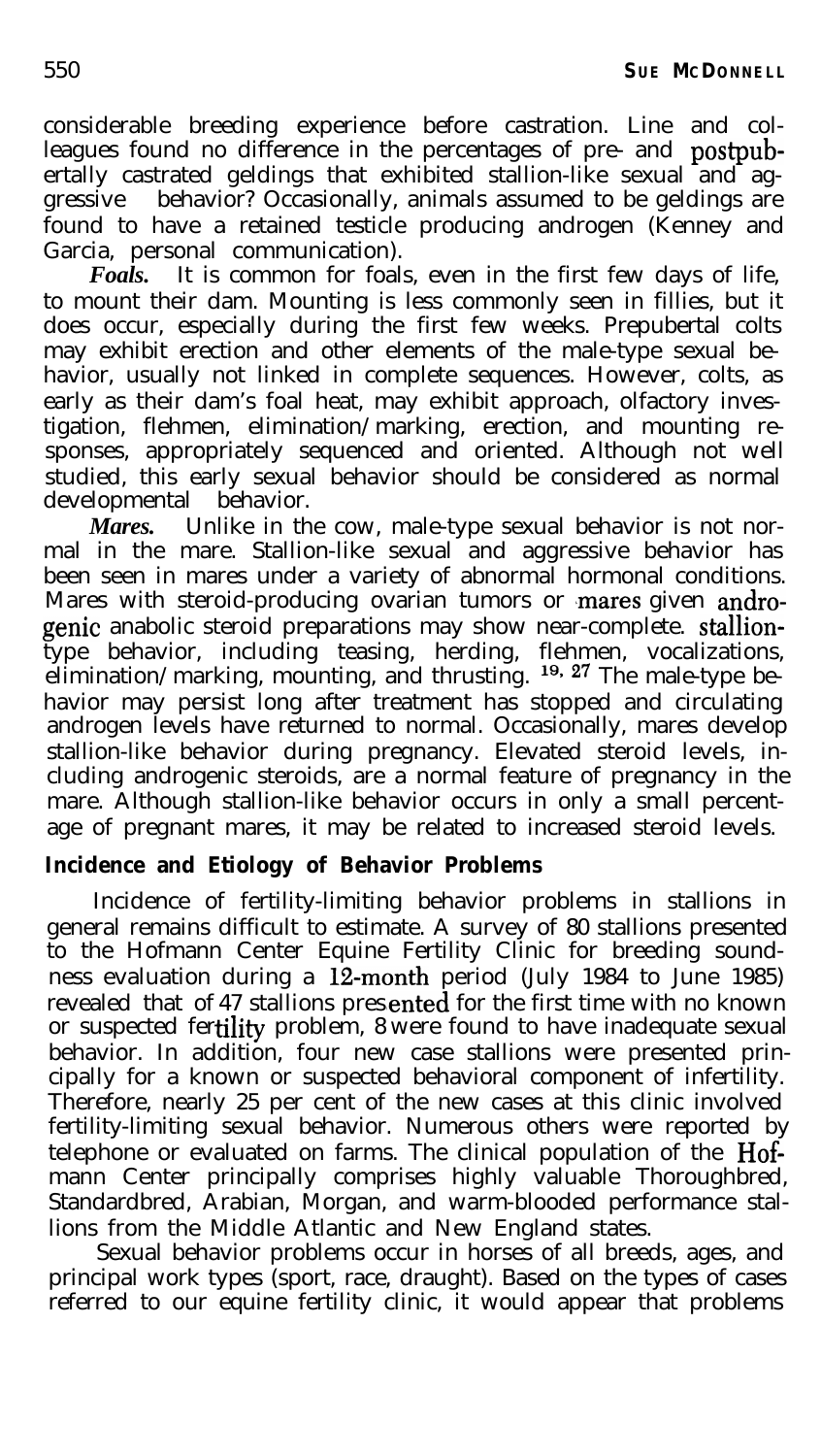considerable breeding experience before castration. Line and colleagues found no difference in the percentages of pre- and postpubertally castrated geldings that exhibited stallion-like sexual and aggressive behavior? Occasionally, animals assumed to be geldings are found to have a retained testicle producing androgen (Kenney and Garcia, personal communication).

*Foals.* It is common for foals, even in the first few days of life, to mount their dam. Mounting is less commonly seen in fillies, but it does occur, especially during the first few weeks. Prepubertal colts may exhibit erection and other elements of the male-type sexual behavior, usually not linked in complete sequences. However, colts, as early as their dam's foal heat, may exhibit approach, olfactory investigation, flehmen, elimination/marking, erection, and mounting responses, appropriately sequenced and oriented. Although not well studied, this early sexual behavior should be considered as normal developmental behavior.

*Mares.* Unlike in the cow, male-type sexual behavior is not normal in the mare. Stallion-like sexual and aggressive behavior has been seen in mares under a variety of abnormal hormonal conditions. Mares with steroid-producing ovarian tumors or mares given androgenie anabolic steroid preparations may show near-complete. stalliontype behavior, including teasing, herding, flehmen, vocalizations, elimination/marking, mounting, and thrusting. <sup>19, 27</sup> The male-type behavior may persist long after treatment has stopped and circulating androgen levels have returned to normal. Occasionally, mares develop stallion-like behavior during pregnancy. Elevated steroid levels, including androgenic steroids, are a normal feature of pregnancy in the mare. Although stallion-like behavior occurs in only a small percentage of pregnant mares, it may be related to increased steroid levels.

## **Incidence and Etiology of Behavior Problems**

Incidence of fertility-limiting behavior problems in stallions in general remains difficult to estimate. A survey of 80 stallions presented to the Hofmann Center Equine Fertility Clinic for breeding soundness evaluation during a  $12$ -month period (July 1984 to June 1985) revealed that of 47 stallions presented for the first time with no known or suspected fertility problem, 8 were found to have inadequate sexual behavior. In addition, four new case stallions were presented principally for a known or suspected behavioral component of infertility. Therefore, nearly 25 per cent of the new cases at this clinic involved fertility-limiting sexual behavior. Numerous others were reported by telephone or evaluated on farms. The clinical population of the Hofmann Center principally comprises highly valuable Thoroughbred, Standardbred, Arabian, Morgan, and warm-blooded performance stallions from the Middle Atlantic and New England states.

Sexual behavior problems occur in horses of all breeds, ages, and principal work types (sport, race, draught). Based on the types of cases referred to our equine fertility clinic, it would appear that problems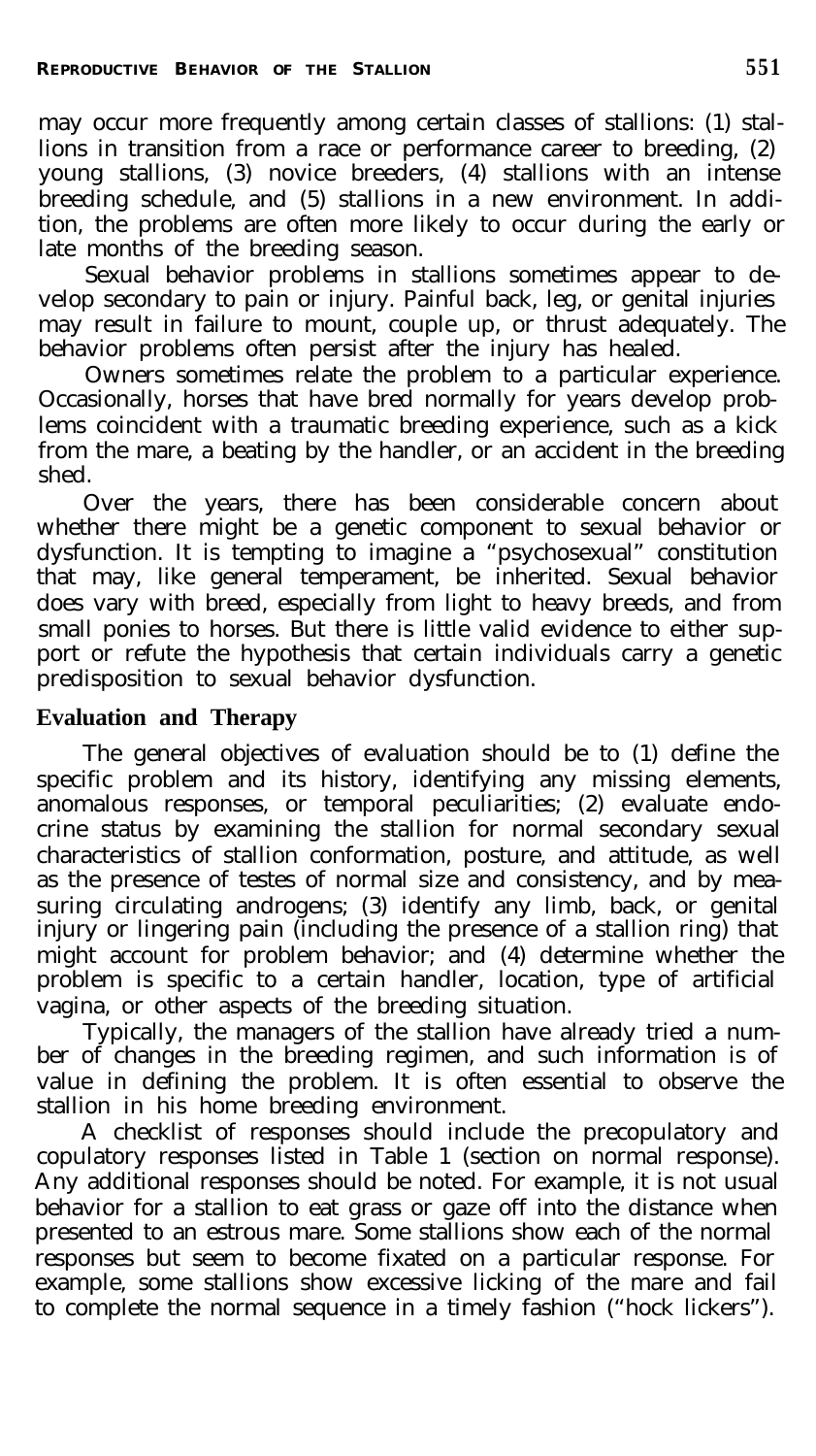may occur more frequently among certain classes of stallions: (1) stallions in transition from a race or performance career to breeding, (2) young stallions, (3) novice breeders, (4) stallions with an intense breeding schedule, and (5) stallions in a new environment. In addition, the problems are often more likely to occur during the early or late months of the breeding season.

Sexual behavior problems in stallions sometimes appear to develop secondary to pain or injury. Painful back, leg, or genital injuries may result in failure to mount, couple up, or thrust adequately. The behavior problems often persist after the injury has healed.

Owners sometimes relate the problem to a particular experience. Occasionally, horses that have bred normally for years develop problems coincident with a traumatic breeding experience, such as a kick from the mare, a beating by the handler, or an accident in the breeding shed.

Over the years, there has been considerable concern about whether there might be a genetic component to sexual behavior or dysfunction. It is tempting to imagine a "psychosexual" constitution that may, like general temperament, be inherited. Sexual behavior does vary with breed, especially from light to heavy breeds, and from small ponies to horses. But there is little valid evidence to either support or refute the hypothesis that certain individuals carry a genetic predisposition to sexual behavior dysfunction.

## **Evaluation and Therapy**

The general objectives of evaluation should be to (1) define the specific problem and its history, identifying any missing elements, anomalous responses, or temporal peculiarities; (2) evaluate endocrine status by examining the stallion for normal secondary sexual characteristics of stallion conformation, posture, and attitude, as well as the presence of testes of normal size and consistency, and by measuring circulating androgens; (3) identify any limb, back, or genital injury or lingering pain (including the presence of a stallion ring) that might account for problem behavior; and (4) determine whether the problem is specific to a certain handler, location, type of artificial vagina, or other aspects of the breeding situation.

Typically, the managers of the stallion have already tried a number of changes in the breeding regimen, and such information is of value in defining the problem. It is often essential to observe the stallion in his home breeding environment.

A checklist of responses should include the precopulatory and copulatory responses listed in Table 1 (section on normal response). Any additional responses should be noted. For example, it is not usual behavior for a stallion to eat grass or gaze off into the distance when presented to an estrous mare. Some stallions show each of the normal responses but seem to become fixated on a particular response. For example, some stallions show excessive licking of the mare and fail to complete the normal sequence in a timely fashion ("hock lickers").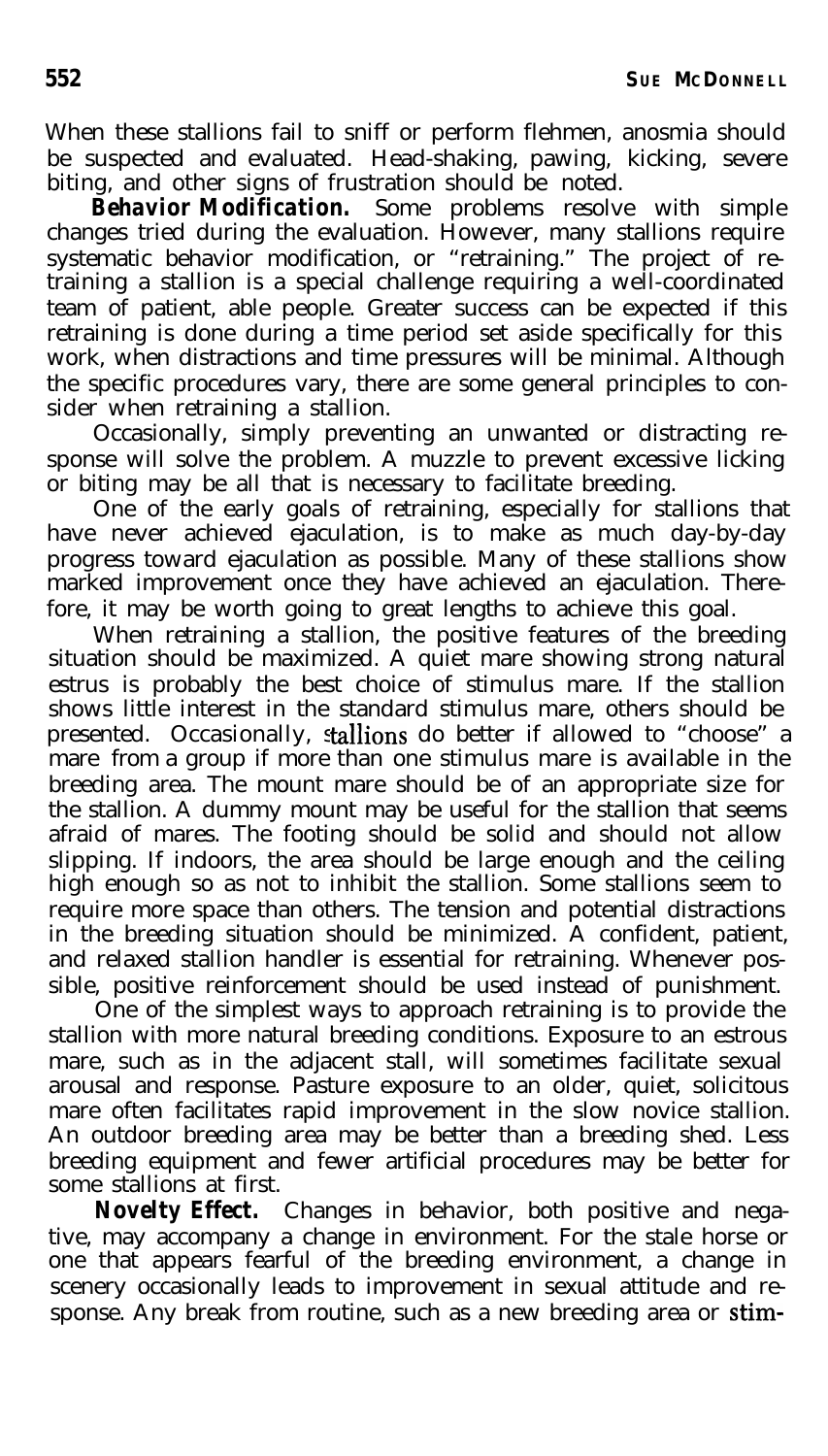When these stallions fail to sniff or perform flehmen, anosmia should be suspected and evaluated. Head-shaking, pawing, kicking, severe biting, and other signs of frustration should be noted.

*Behavior Modification.* Some problems resolve with simple changes tried during the evaluation. However, many stallions require systematic behavior modification, or "retraining." The project of retraining a stallion is a special challenge requiring a well-coordinated team of patient, able people. Greater success can be expected if this retraining is done during a time period set aside specifically for this work, when distractions and time pressures will be minimal. Although the specific procedures vary, there are some general principles to consider when retraining a stallion.

Occasionally, simply preventing an unwanted or distracting response will solve the problem. A muzzle to prevent excessive licking or biting may be all that is necessary to facilitate breeding.

One of the early goals of retraining, especially for stallions that have never achieved ejaculation, is to make as much day-by-day progress toward ejaculation as possible. Many of these stallions show marked improvement once they have achieved an ejaculation. Therefore, it may be worth going to great lengths to achieve this goal.

When retraining a stallion, the positive features of the breeding situation should be maximized. A quiet mare showing strong natural estrus is probably the best choice of stimulus mare. If the stallion shows little interest in the standard stimulus mare, others should be presented. Occasionally, stallions do better if allowed to "choose" a mare from a group if more than one stimulus mare is available in the breeding area. The mount mare should be of an appropriate size for the stallion. A dummy mount may be useful for the stallion that seems afraid of mares. The footing should be solid and should not allow slipping. If indoors, the area should be large enough and the ceiling high enough so as not to inhibit the stallion. Some stallions seem to require more space than others. The tension and potential distractions in the breeding situation should be minimized. A confident, patient, and relaxed stallion handler is essential for retraining. Whenever possible, positive reinforcement should be used instead of punishment.

One of the simplest ways to approach retraining is to provide the stallion with more natural breeding conditions. Exposure to an estrous mare, such as in the adjacent stall, will sometimes facilitate sexual arousal and response. Pasture exposure to an older, quiet, solicitous mare often facilitates rapid improvement in the slow novice stallion. An outdoor breeding area may be better than a breeding shed. Less breeding equipment and fewer artificial procedures may be better for some stallions at first.

*Novelty Effect.* Changes in behavior, both positive and negative, may accompany a change in environment. For the stale horse or one that appears fearful of the breeding environment, a change in scenery occasionally leads to improvement in sexual attitude and response. Any break from routine, such as a new breeding area or stim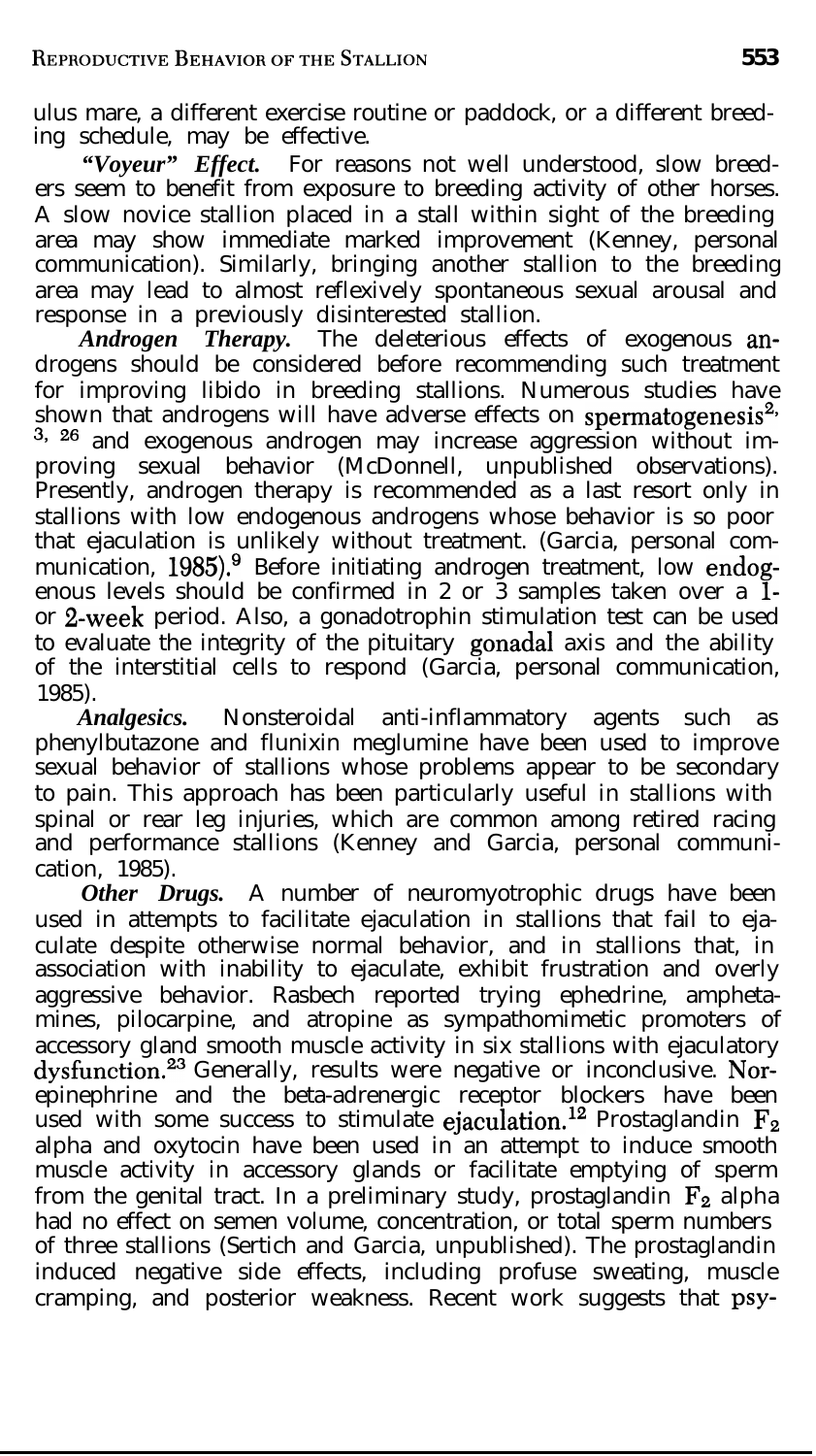ulus mare, a different exercise routine or paddock, or a different breeding schedule, may be effective.

*"Voyeur" Effect.* For reasons not well understood, slow breeders seem to benefit from exposure to breeding activity of other horses. A slow novice stallion placed in a stall within sight of the breeding area may show immediate marked improvement (Kenney, personal communication). Similarly, bringing another stallion to the breeding area may lead to almost reflexively spontaneous sexual arousal and response in a previously disinterested stallion.

*Androgen Therapy.* The deleterious effects of exogenous androgens should be considered before recommending such treatment for improving libido in breeding stallions. Numerous studies have shown that androgens will have adverse effects on spermatogenesis<sup>2</sup> <sup>3, 26</sup> and exogenous androgen may increase aggression without improving sexual behavior (McDonnell, unpublished observations). Presently, androgen therapy is recommended as a last resort only in stallions with low endogenous androgens whose behavior is so poor that ejaculation is unlikely without treatment. (Garcia, personal communication, 1985).<sup>9</sup> Before initiating androgen treatment, low endogenous levels should be confirmed in 2 or 3 samples taken over a **l**or 2-week period. Also, a gonadotrophin stimulation test can be used to evaluate the integrity of the pituitary gonadal axis and the ability of the interstitial cells to respond (Garcia, personal communication, 1985).

*Analgesics.* Nonsteroidal anti-inflammatory agents such as phenylbutazone and flunixin meglumine have been used to improve sexual behavior of stallions whose problems appear to be secondary to pain. This approach has been particularly useful in stallions with spinal or rear leg injuries, which are common among retired racing and performance stallions (Kenney and Garcia, personal communication, 1985).

*Other Drugs.* A number of neuromyotrophic drugs have been used in attempts to facilitate ejaculation in stallions that fail to ejaculate despite otherwise normal behavior, and in stallions that, in association with inability to ejaculate, exhibit frustration and overly aggressive behavior. Rasbech reported trying ephedrine, amphetamines, pilocarpine, and atropine as sympathomimetic promoters of accessory gland smooth muscle activity in six stallions with ejaculatory dysfunction.<sup>23</sup> Generally, results were negative or inconclusive. Norepinephrine and the beta-adrenergic receptor blockers have been used with some success to stimulate ejaculation.<sup>12</sup> Prostaglandin  $F_2$ alpha and oxytocin have been used in an attempt to induce smooth muscle activity in accessory glands or facilitate emptying of sperm from the genital tract. In a preliminary study, prostaglandin  $F_2$  alpha had no effect on semen volume, concentration, or total sperm numbers of three stallions (Sertich and Garcia, unpublished). The prostaglandin induced negative side effects, including profuse sweating, muscle cramping, and posterior weakness. Recent work suggests that psy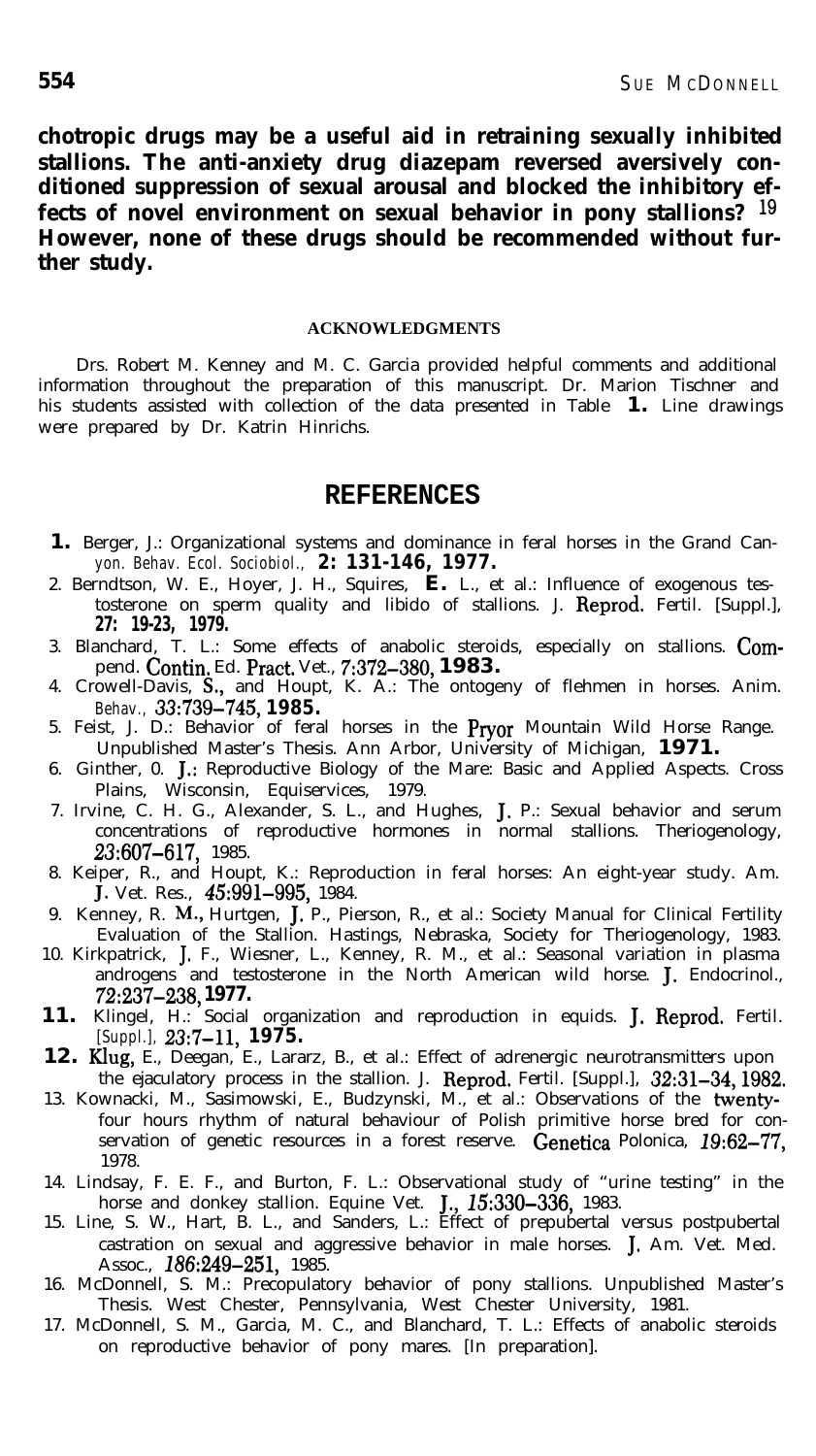**chotropic drugs may be a useful aid in retraining sexually inhibited stallions. The anti-anxiety drug diazepam reversed aversively conditioned suppression of sexual arousal and blocked the inhibitory effects of novel environment on sexual behavior in pony stallions? lg However, none of these drugs should be recommended without further study.**

#### **ACKNOWLEDGMENTS**

Drs. Robert M. Kenney and M. C. Garcia provided helpful comments and additional information throughout the preparation of this manuscript. Dr. Marion Tischner and his students assisted with collection of the data presented in Table **1.** Line drawings were prepared by Dr. Katrin Hinrichs.

#### **REFERENCES**

- **1.** Berger, J.: Organizational systems and dominance in feral horses in the Grand Canyon. Behav. Ecol. Sociobiol., **2: 131-146, 1977.**
- 2. Berndtson, W. E., Hoyer, J. H., Squires, **E.** L., et al.: Influence of exogenous testosterone on sperm quality and libido of stallions. J. Reprod. Fertil. [Suppl.], **27: 19-23, 1979.**
- 3. Blanchard, T. L.: Some effects of anabolic steroids, especially on stallions. Compend. Contin. Ed. Pratt. Vet., 7:372-380, **1983.**
- 4. Crowell-Davis, S., and Houpt, K. A.: The ontogeny of flehmen in horses. Anim. Behav., 33:739-745, **1985.**
- 5. Feist, J. D.: Behavior of feral horses in the Pryor Mountain Wild Horse Range. Unpublished Master's Thesis. Ann Arbor, University of Michigan, **1971.**
- 6. Ginther, 0. J.: Reproductive Biology of the Mare: Basic and Applied Aspects. Cross Plains, Wisconsin, Equiservices, 1979.
- 7. Irvine, C. H. G., Alexander, S. L., and Hughes, J. P.: Sexual behavior and serum concentrations of reproductive hormones in normal stallions. Theriogenology, 23:607-617, 1985.
- 8. Keiper, R., and Houpt, K.: Reproduction in feral horses: An eight-year study. Am. J. Vet. Res., 45:991-995, 1984.
- 9. Kenney, R. M., Hurtgen, J. P., Pierson, R., et al.: Society Manual for Clinical Fertility Evaluation of the Stallion. Hastings, Nebraska, Society for Theriogenology, 1983.
- 10. Kirkpatrick, J. F., Wiesner, L., Kenney, R. M., et al.: Seasonal variation in plasma androgens and testosterone in the North American wild horse. J. Endocrinol., **72:237-238, 1977.**
- **11.** Klingel, H.: Social organization and reproduction in equids. J. Reprod. Fertil. [Suppl.], 23:7-11, 1975.
- 12. Klug, E., Deegan, E., Lararz, B., et al.: Effect of adrenergic neurotransmitters upon the ejaculatory process in the stallion. J. Reprod. Fertil. [Suppl.], 32:31-34, 1982.
- 13. Kownacki, M., Sasimowski, E., Budzynski, M., et al.: Observations of the twentyfour hours rhythm of natural behaviour of Polish primitive horse bred for conservation of genetic resources in a forest reserve. Genetica Polonica, 19:62-77, 1978.
- 14. Lindsay, F. E. F., and Burton, F. L.: Observational study of "urine testing" in the horse and donkey stallion. Equine Vet. J., 15:330-336, 1983.<br>15. Line, S. W., Hart, B. L., and Sanders, L.: Effect of prepubertal versus postpubertal
- castration on sexual and aggressive behavior in male horses. J. Am. Vet. Med. Assoc., 186:249-251, 1985.
- 16. McDonnell, S. M.: Precopulatory behavior of pony stallions. Unpublished Master's Thesis. West Chester, Pennsylvania, West Chester University, 1981.
- 17. McDonnell, S. M., Garcia, M. C., and Blanchard, T. L.: Effects of anabolic steroids on reproductive behavior of pony mares. [In preparation].